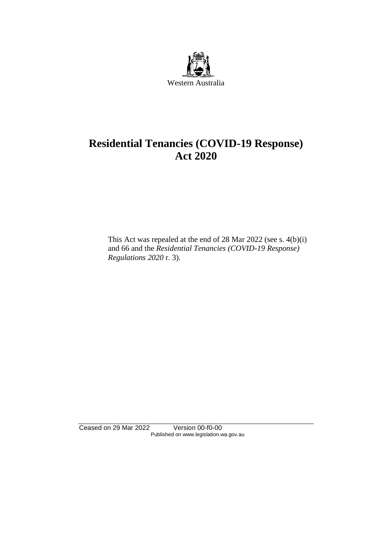

# **Residential Tenancies (COVID-19 Response) Act 2020**

This Act was repealed at the end of 28 Mar 2022 (see s. 4(b)(i) and 66 and the *Residential Tenancies (COVID-19 Response) Regulations 2020* r. 3).

Ceased on 29 Mar 2022 Version 00-f0-00 Published on www.legislation.wa.gov.au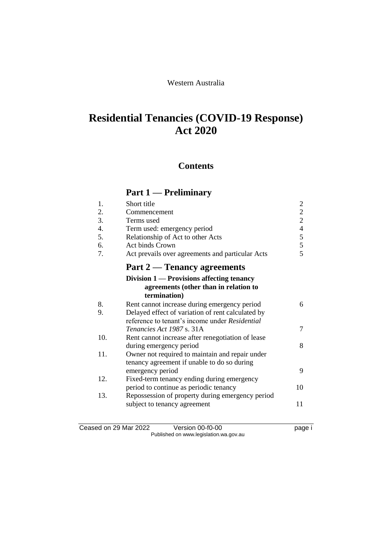### Western Australia

# **Residential Tenancies (COVID-19 Response) Act 2020**

## **Contents**

# **Part 1 — Preliminary**

| 1.               | Short title                                                                                          | $\overline{c}$                 |
|------------------|------------------------------------------------------------------------------------------------------|--------------------------------|
| 2.               | Commencement                                                                                         | $\overline{c}$                 |
| 3.               | Terms used                                                                                           | $\overline{c}$                 |
| $\overline{4}$ . | Term used: emergency period                                                                          |                                |
| 5.               | Relationship of Act to other Acts                                                                    |                                |
| 6.               | Act binds Crown                                                                                      | $\frac{4}{5}$<br>$\frac{5}{5}$ |
| 7.               | Act prevails over agreements and particular Acts                                                     |                                |
|                  | Part 2 — Tenancy agreements                                                                          |                                |
|                  | Division $1$ — Provisions affecting tenancy<br>agreements (other than in relation to<br>termination) |                                |
| 8.               | Rent cannot increase during emergency period                                                         | 6                              |
| 9.               | Delayed effect of variation of rent calculated by                                                    |                                |
|                  | reference to tenant's income under Residential                                                       |                                |
|                  | Tenancies Act 1987 s. 31A                                                                            | 7                              |
| 10.              | Rent cannot increase after renegotiation of lease                                                    |                                |
|                  | during emergency period                                                                              | 8                              |
| 11.              | Owner not required to maintain and repair under                                                      |                                |
|                  | tenancy agreement if unable to do so during                                                          |                                |
|                  | emergency period                                                                                     | 9                              |
| 12.              | Fixed-term tenancy ending during emergency                                                           |                                |
|                  | period to continue as periodic tenancy                                                               | 10                             |
| 13.              | Repossession of property during emergency period                                                     |                                |
|                  | subject to tenancy agreement                                                                         | 11                             |
|                  |                                                                                                      |                                |

Ceased on 29 Mar 2022 Version 00-f0-00 Page i Published on www.legislation.wa.gov.au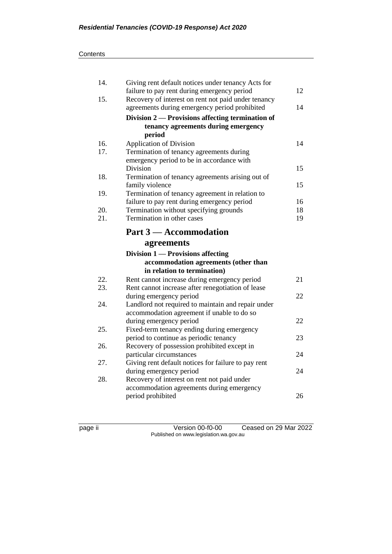| 14. | Giving rent default notices under tenancy Acts for<br>failure to pay rent during emergency period    | 12 |
|-----|------------------------------------------------------------------------------------------------------|----|
| 15. | Recovery of interest on rent not paid under tenancy<br>agreements during emergency period prohibited | 14 |
|     | Division 2 — Provisions affecting termination of                                                     |    |
|     | tenancy agreements during emergency                                                                  |    |
|     | period                                                                                               |    |
| 16. | <b>Application of Division</b>                                                                       | 14 |
| 17. | Termination of tenancy agreements during                                                             |    |
|     | emergency period to be in accordance with                                                            |    |
|     | Division                                                                                             | 15 |
| 18. | Termination of tenancy agreements arising out of                                                     |    |
|     | family violence                                                                                      | 15 |
| 19. | Termination of tenancy agreement in relation to                                                      |    |
|     | failure to pay rent during emergency period                                                          | 16 |
| 20. | Termination without specifying grounds                                                               | 18 |
| 21. | Termination in other cases                                                                           | 19 |
|     | Part 3 – Accommodation                                                                               |    |
|     |                                                                                                      |    |
|     | agreements                                                                                           |    |
|     | Division 1 — Provisions affecting                                                                    |    |
|     | accommodation agreements (other than                                                                 |    |
|     | in relation to termination)                                                                          |    |
| 22. | Rent cannot increase during emergency period                                                         | 21 |
| 23. | Rent cannot increase after renegotiation of lease                                                    |    |
|     | during emergency period                                                                              | 22 |
| 24. | Landlord not required to maintain and repair under                                                   |    |
|     | accommodation agreement if unable to do so                                                           |    |
|     | during emergency period                                                                              | 22 |
| 25. | Fixed-term tenancy ending during emergency                                                           |    |
|     | period to continue as periodic tenancy                                                               | 23 |
| 26. | Recovery of possession prohibited except in                                                          |    |
|     | particular circumstances                                                                             | 24 |
| 27. | Giving rent default notices for failure to pay rent                                                  |    |
| 28. | during emergency period                                                                              | 24 |
|     | Recovery of interest on rent not paid under                                                          |    |
|     | accommodation agreements during emergency<br>period prohibited                                       | 26 |

page ii Version 00-f0-00 Ceased on 29 Mar 2022 Published on www.legislation.wa.gov.au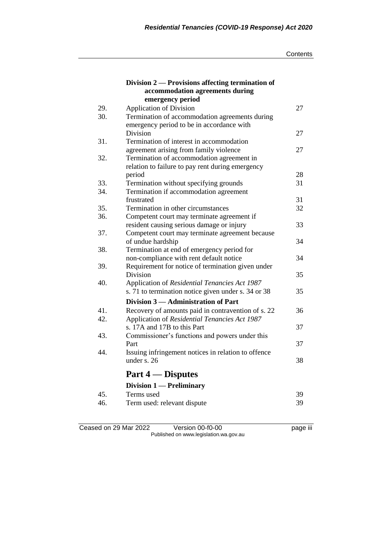|     | Division 2 — Provisions affecting termination of<br>accommodation agreements during |    |
|-----|-------------------------------------------------------------------------------------|----|
|     | emergency period                                                                    |    |
| 29. | <b>Application of Division</b>                                                      | 27 |
| 30. | Termination of accommodation agreements during                                      |    |
|     | emergency period to be in accordance with                                           |    |
|     | <b>Division</b>                                                                     | 27 |
| 31. | Termination of interest in accommodation                                            |    |
|     | agreement arising from family violence                                              | 27 |
| 32. | Termination of accommodation agreement in                                           |    |
|     | relation to failure to pay rent during emergency                                    |    |
|     | period                                                                              | 28 |
| 33. | Termination without specifying grounds                                              | 31 |
| 34. | Termination if accommodation agreement                                              |    |
|     | frustrated                                                                          | 31 |
| 35. | Termination in other circumstances                                                  | 32 |
| 36. | Competent court may terminate agreement if                                          |    |
|     | resident causing serious damage or injury                                           | 33 |
| 37. | Competent court may terminate agreement because                                     |    |
|     | of undue hardship                                                                   | 34 |
| 38. | Termination at end of emergency period for                                          |    |
|     | non-compliance with rent default notice                                             | 34 |
| 39. | Requirement for notice of termination given under                                   |    |
|     | Division                                                                            | 35 |
| 40. | Application of Residential Tenancies Act 1987                                       |    |
|     | s. 71 to termination notice given under s. 34 or 38                                 | 35 |
|     | Division 3 - Administration of Part                                                 |    |
| 41. | Recovery of amounts paid in contravention of s. 22                                  | 36 |
| 42. | Application of Residential Tenancies Act 1987                                       |    |
|     | s. 17A and 17B to this Part                                                         | 37 |
| 43. | Commissioner's functions and powers under this                                      |    |
|     | Part                                                                                | 37 |
| 44. | Issuing infringement notices in relation to offence                                 |    |
|     | under s. $26$                                                                       | 38 |
|     | <b>Part 4 – Disputes</b>                                                            |    |
|     | Division 1 - Preliminary                                                            |    |
| 45. | Terms used                                                                          | 39 |
| 46. | Term used: relevant dispute                                                         | 39 |
|     |                                                                                     |    |

Ceased on 29 Mar 2022 Version 00-f0-00 page iii Published on www.legislation.wa.gov.au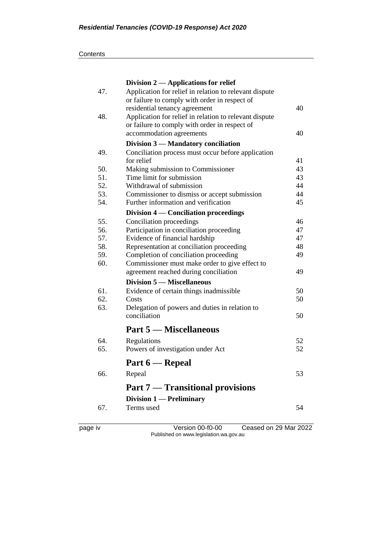| Contents |
|----------|
|----------|

|     | Division $2$ — Applications for relief                 |    |
|-----|--------------------------------------------------------|----|
| 47. | Application for relief in relation to relevant dispute |    |
|     | or failure to comply with order in respect of          |    |
|     | residential tenancy agreement                          | 40 |
| 48. | Application for relief in relation to relevant dispute |    |
|     | or failure to comply with order in respect of          |    |
|     | accommodation agreements                               | 40 |
|     | Division 3 - Mandatory conciliation                    |    |
| 49. | Conciliation process must occur before application     |    |
|     | for relief                                             | 41 |
| 50. | Making submission to Commissioner                      | 43 |
| 51. | Time limit for submission                              | 43 |
| 52. | Withdrawal of submission                               | 44 |
| 53. | Commissioner to dismiss or accept submission           | 44 |
| 54. | Further information and verification                   | 45 |
|     | Division 4 — Conciliation proceedings                  |    |
| 55. | Conciliation proceedings                               | 46 |
| 56. | Participation in conciliation proceeding               | 47 |
| 57. | Evidence of financial hardship                         | 47 |
| 58. | Representation at conciliation proceeding              | 48 |
| 59. | Completion of conciliation proceeding                  | 49 |
| 60. | Commissioner must make order to give effect to         |    |
|     | agreement reached during conciliation                  | 49 |
|     | <b>Division 5 – Miscellaneous</b>                      |    |
| 61. | Evidence of certain things inadmissible                | 50 |
| 62. | Costs                                                  | 50 |
| 63. | Delegation of powers and duties in relation to         |    |
|     | conciliation                                           | 50 |
|     | <b>Part 5 – Miscellaneous</b>                          |    |
| 64. | Regulations                                            | 52 |
| 65. |                                                        | 52 |
|     | Powers of investigation under Act                      |    |
|     | Part 6 — Repeal                                        |    |
| 66. | Repeal                                                 | 53 |
|     | <b>Part 7 — Transitional provisions</b>                |    |
|     | Division $1$ — Preliminary                             |    |
| 67. | Terms used                                             | 54 |
|     |                                                        |    |

page iv Version 00-f0-00 Ceased on 29 Mar 2022 Published on www.legislation.wa.gov.au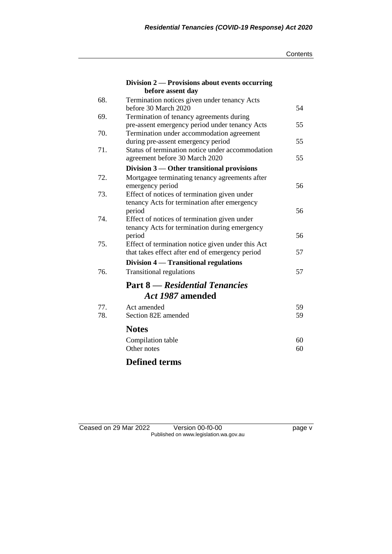|  | Contents |
|--|----------|
|--|----------|

|     | Division 2 — Provisions about events occurring<br>before assent day                        |    |
|-----|--------------------------------------------------------------------------------------------|----|
| 68. | Termination notices given under tenancy Acts                                               |    |
| 69. | before 30 March 2020                                                                       | 54 |
|     | Termination of tenancy agreements during<br>pre-assent emergency period under tenancy Acts | 55 |
| 70. | Termination under accommodation agreement                                                  |    |
|     | during pre-assent emergency period                                                         | 55 |
| 71. | Status of termination notice under accommodation                                           |    |
|     | agreement before 30 March 2020                                                             | 55 |
|     | Division $3$ — Other transitional provisions                                               |    |
| 72. | Mortgagee terminating tenancy agreements after                                             |    |
|     | emergency period                                                                           | 56 |
| 73. | Effect of notices of termination given under                                               |    |
|     | tenancy Acts for termination after emergency                                               |    |
|     | period                                                                                     | 56 |
| 74. | Effect of notices of termination given under                                               |    |
|     | tenancy Acts for termination during emergency                                              |    |
|     | period                                                                                     | 56 |
| 75. | Effect of termination notice given under this Act                                          | 57 |
|     | that takes effect after end of emergency period                                            |    |
|     | Division 4 — Transitional regulations                                                      |    |
| 76. | <b>Transitional regulations</b>                                                            | 57 |
|     | <b>Part 8</b> — Residential Tenancies                                                      |    |
|     | Act 1987 amended                                                                           |    |
| 77. | Act amended                                                                                | 59 |
| 78. | Section 82E amended                                                                        | 59 |
|     | <b>Notes</b>                                                                               |    |
|     | Compilation table                                                                          | 60 |
|     | Other notes                                                                                | 60 |
|     |                                                                                            |    |

## **Defined terms**

| Ceased on 29 Mar 2022 | Version 00-f0-00                       | page v |
|-----------------------|----------------------------------------|--------|
|                       | Published on www.legislation.wa.gov.au |        |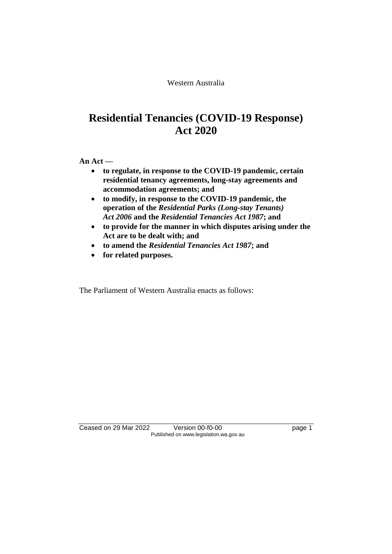Western Australia

# **Residential Tenancies (COVID-19 Response) Act 2020**

**An Act —**

- **to regulate, in response to the COVID-19 pandemic, certain residential tenancy agreements, long-stay agreements and accommodation agreements; and**
- **to modify, in response to the COVID-19 pandemic, the operation of the** *Residential Parks (Long-stay Tenants) Act 2006* **and the** *Residential Tenancies Act 1987***; and**
- **to provide for the manner in which disputes arising under the Act are to be dealt with; and**
- **to amend the** *Residential Tenancies Act 1987***; and**
- **for related purposes.**

The Parliament of Western Australia enacts as follows:

Ceased on 29 Mar 2022 Version 00-f0-00 page 1 Published on www.legislation.wa.gov.au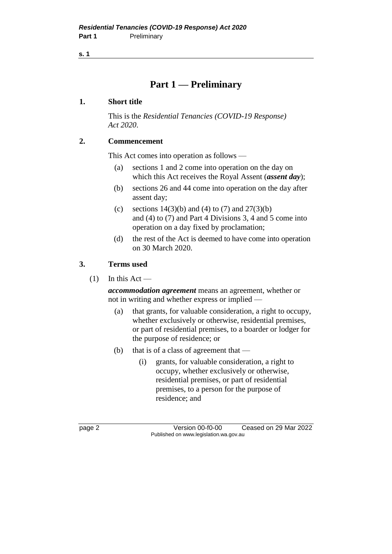**s. 1**

## **Part 1 — Preliminary**

### **1. Short title**

This is the *Residential Tenancies (COVID-19 Response) Act 2020*.

### **2. Commencement**

This Act comes into operation as follows —

- (a) sections 1 and 2 come into operation on the day on which this Act receives the Royal Assent (*assent day*);
- (b) sections 26 and 44 come into operation on the day after assent day;
- (c) sections  $14(3)(b)$  and  $(4)$  to  $(7)$  and  $27(3)(b)$ and (4) to (7) and Part 4 Divisions 3, 4 and 5 come into operation on a day fixed by proclamation;
- (d) the rest of the Act is deemed to have come into operation on 30 March 2020.

### **3. Terms used**

 $(1)$  In this Act —

*accommodation agreement* means an agreement, whether or not in writing and whether express or implied —

- (a) that grants, for valuable consideration, a right to occupy, whether exclusively or otherwise, residential premises, or part of residential premises, to a boarder or lodger for the purpose of residence; or
- (b) that is of a class of agreement that
	- (i) grants, for valuable consideration, a right to occupy, whether exclusively or otherwise, residential premises, or part of residential premises, to a person for the purpose of residence; and

page 2 Version 00-f0-00 Ceased on 29 Mar 2022 Published on www.legislation.wa.gov.au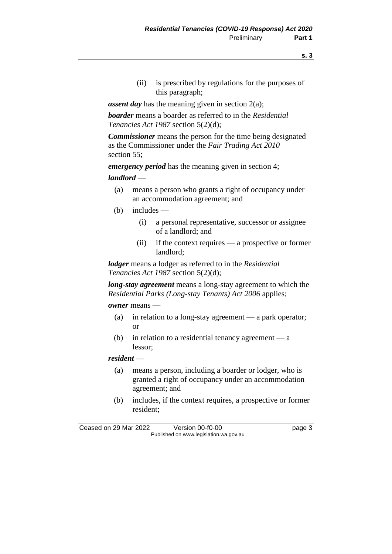- **s. 3**
- (ii) is prescribed by regulations for the purposes of this paragraph;

*assent day* has the meaning given in section 2(a);

*boarder* means a boarder as referred to in the *Residential Tenancies Act 1987* section 5(2)(d);

*Commissioner* means the person for the time being designated as the Commissioner under the *Fair Trading Act 2010* section 55;

*emergency period* has the meaning given in section 4;

#### *landlord* —

- (a) means a person who grants a right of occupancy under an accommodation agreement; and
- (b) includes
	- (i) a personal representative, successor or assignee of a landlord; and
	- (ii) if the context requires a prospective or former landlord;

*lodger* means a lodger as referred to in the *Residential Tenancies Act 1987* section 5(2)(d);

*long-stay agreement* means a long-stay agreement to which the *Residential Parks (Long-stay Tenants) Act 2006* applies;

#### *owner* means —

- (a) in relation to a long-stay agreement a park operator; or
- (b) in relation to a residential tenancy agreement  $-a$ lessor;

#### *resident* —

- (a) means a person, including a boarder or lodger, who is granted a right of occupancy under an accommodation agreement; and
- (b) includes, if the context requires, a prospective or former resident;

Ceased on 29 Mar 2022 Version 00-f0-00 page 3 Published on www.legislation.wa.gov.au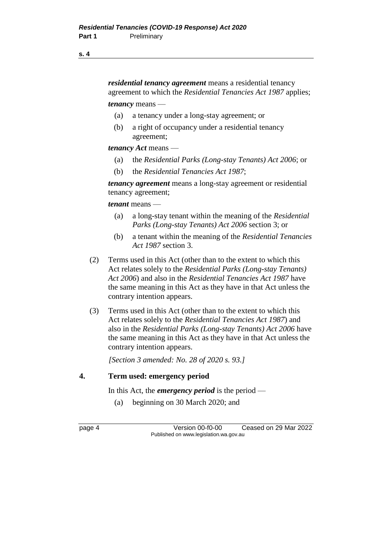#### **s. 4**

*residential tenancy agreement* means a residential tenancy agreement to which the *Residential Tenancies Act 1987* applies;

*tenancy* means —

- (a) a tenancy under a long-stay agreement; or
- (b) a right of occupancy under a residential tenancy agreement;

*tenancy Act* means —

- (a) the *Residential Parks (Long-stay Tenants) Act 2006*; or
- (b) the *Residential Tenancies Act 1987*;

*tenancy agreement* means a long-stay agreement or residential tenancy agreement;

*tenant* means —

- (a) a long-stay tenant within the meaning of the *Residential Parks (Long-stay Tenants) Act 2006* section 3; or
- (b) a tenant within the meaning of the *Residential Tenancies Act 1987* section 3.
- (2) Terms used in this Act (other than to the extent to which this Act relates solely to the *Residential Parks (Long-stay Tenants) Act 2006*) and also in the *Residential Tenancies Act 1987* have the same meaning in this Act as they have in that Act unless the contrary intention appears.
- (3) Terms used in this Act (other than to the extent to which this Act relates solely to the *Residential Tenancies Act 1987*) and also in the *Residential Parks (Long-stay Tenants) Act 2006* have the same meaning in this Act as they have in that Act unless the contrary intention appears.

*[Section 3 amended: No. 28 of 2020 s. 93.]*

### **4. Term used: emergency period**

In this Act, the *emergency period* is the period —

(a) beginning on 30 March 2020; and

page 4 Version 00-f0-00 Ceased on 29 Mar 2022 Published on www.legislation.wa.gov.au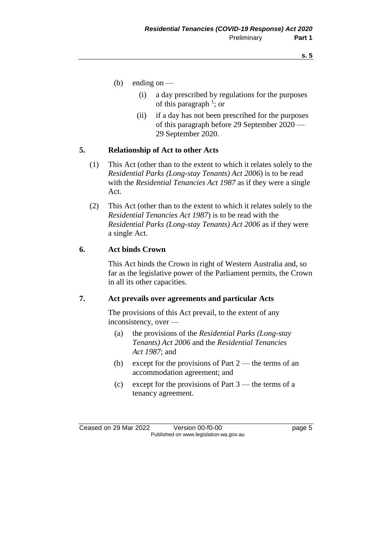- (b) ending on  $-$ 
	- (i) a day prescribed by regulations for the purposes of this paragraph  $\frac{1}{1}$ ; or
	- (ii) if a day has not been prescribed for the purposes of this paragraph before 29 September 2020 — 29 September 2020.

### **5. Relationship of Act to other Acts**

- (1) This Act (other than to the extent to which it relates solely to the *Residential Parks (Long-stay Tenants) Act 2006*) is to be read with the *Residential Tenancies Act 1987* as if they were a single Act.
- (2) This Act (other than to the extent to which it relates solely to the *Residential Tenancies Act 1987*) is to be read with the *Residential Parks (Long-stay Tenants) Act 2006* as if they were a single Act.

### **6. Act binds Crown**

This Act binds the Crown in right of Western Australia and, so far as the legislative power of the Parliament permits, the Crown in all its other capacities.

### **7. Act prevails over agreements and particular Acts**

The provisions of this Act prevail, to the extent of any inconsistency, over —

- (a) the provisions of the *Residential Parks (Long-stay Tenants) Act 2006* and the *Residential Tenancies Act 1987*; and
- (b) except for the provisions of Part  $2$  the terms of an accommodation agreement; and
- (c) except for the provisions of Part 3 the terms of a tenancy agreement.

Ceased on 29 Mar 2022 Version 00-f0-00 page 5 Published on www.legislation.wa.gov.au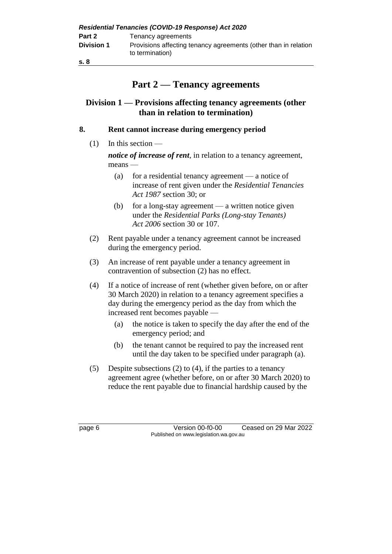| <b>Residential Tenancies (COVID-19 Response) Act 2020</b> |                                                                                    |  |
|-----------------------------------------------------------|------------------------------------------------------------------------------------|--|
| Part 2                                                    | Tenancy agreements                                                                 |  |
| <b>Division 1</b>                                         | Provisions affecting tenancy agreements (other than in relation<br>to termination) |  |
| s. 8                                                      |                                                                                    |  |

# **Part 2 — Tenancy agreements**

## **Division 1 — Provisions affecting tenancy agreements (other than in relation to termination)**

### **8. Rent cannot increase during emergency period**

(1) In this section —

*notice of increase of rent*, in relation to a tenancy agreement, means —

- (a) for a residential tenancy agreement a notice of increase of rent given under the *Residential Tenancies Act 1987* section 30; or
- (b) for a long-stay agreement a written notice given under the *Residential Parks (Long-stay Tenants) Act 2006* section 30 or 107.
- (2) Rent payable under a tenancy agreement cannot be increased during the emergency period.
- (3) An increase of rent payable under a tenancy agreement in contravention of subsection (2) has no effect.
- (4) If a notice of increase of rent (whether given before, on or after 30 March 2020) in relation to a tenancy agreement specifies a day during the emergency period as the day from which the increased rent becomes payable —
	- (a) the notice is taken to specify the day after the end of the emergency period; and
	- (b) the tenant cannot be required to pay the increased rent until the day taken to be specified under paragraph (a).
- (5) Despite subsections (2) to (4), if the parties to a tenancy agreement agree (whether before, on or after 30 March 2020) to reduce the rent payable due to financial hardship caused by the

page 6 Version 00-f0-00 Ceased on 29 Mar 2022 Published on www.legislation.wa.gov.au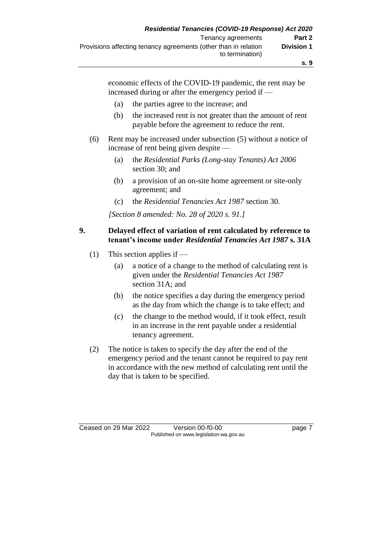**s. 9**

economic effects of the COVID-19 pandemic, the rent may be increased during or after the emergency period if —

- (a) the parties agree to the increase; and
- (b) the increased rent is not greater than the amount of rent payable before the agreement to reduce the rent.
- (6) Rent may be increased under subsection (5) without a notice of increase of rent being given despite —
	- (a) the *Residential Parks (Long-stay Tenants) Act 2006* section 30; and
	- (b) a provision of an on-site home agreement or site-only agreement; and
	- (c) the *Residential Tenancies Act 1987* section 30.

*[Section 8 amended: No. 28 of 2020 s. 91.]*

#### **9. Delayed effect of variation of rent calculated by reference to tenant's income under** *Residential Tenancies Act 1987* **s. 31A**

- (1) This section applies if  $-$ 
	- (a) a notice of a change to the method of calculating rent is given under the *Residential Tenancies Act 1987*  section 31A; and
	- (b) the notice specifies a day during the emergency period as the day from which the change is to take effect; and
	- (c) the change to the method would, if it took effect, result in an increase in the rent payable under a residential tenancy agreement.
- (2) The notice is taken to specify the day after the end of the emergency period and the tenant cannot be required to pay rent in accordance with the new method of calculating rent until the day that is taken to be specified.

Ceased on 29 Mar 2022 Version 00-f0-00 page 7 Published on www.legislation.wa.gov.au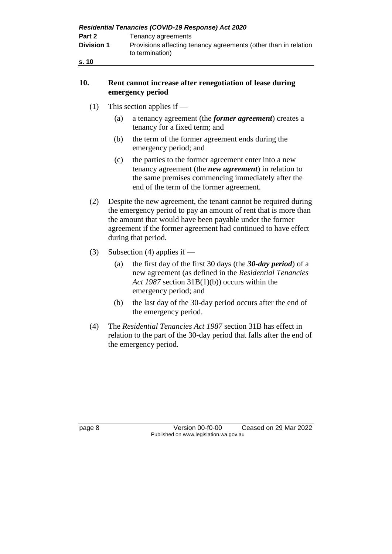| Residential Tenancies (COVID-19 Response) Act 2020 |                                                                                    |  |
|----------------------------------------------------|------------------------------------------------------------------------------------|--|
| Part 2                                             | Tenancy agreements                                                                 |  |
| <b>Division 1</b>                                  | Provisions affecting tenancy agreements (other than in relation<br>to termination) |  |
| s. 10                                              |                                                                                    |  |

### **10. Rent cannot increase after renegotiation of lease during emergency period**

- (1) This section applies if
	- (a) a tenancy agreement (the *former agreement*) creates a tenancy for a fixed term; and
	- (b) the term of the former agreement ends during the emergency period; and
	- (c) the parties to the former agreement enter into a new tenancy agreement (the *new agreement*) in relation to the same premises commencing immediately after the end of the term of the former agreement.
- (2) Despite the new agreement, the tenant cannot be required during the emergency period to pay an amount of rent that is more than the amount that would have been payable under the former agreement if the former agreement had continued to have effect during that period.
- (3) Subsection (4) applies if
	- (a) the first day of the first 30 days (the *30-day period*) of a new agreement (as defined in the *Residential Tenancies Act 1987* section 31B(1)(b)) occurs within the emergency period; and
	- (b) the last day of the 30-day period occurs after the end of the emergency period.
- (4) The *Residential Tenancies Act 1987* section 31B has effect in relation to the part of the 30-day period that falls after the end of the emergency period.

page 8 Version 00-f0-00 Ceased on 29 Mar 2022 Published on www.legislation.wa.gov.au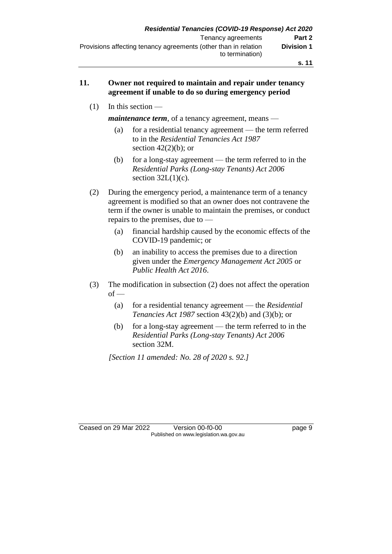### **11. Owner not required to maintain and repair under tenancy agreement if unable to do so during emergency period**

(1) In this section —

*maintenance term*, of a tenancy agreement, means —

- (a) for a residential tenancy agreement the term referred to in the *Residential Tenancies Act 1987*  section  $42(2)(b)$ ; or
- (b) for a long-stay agreement the term referred to in the *Residential Parks (Long-stay Tenants) Act 2006* section  $32L(1)(c)$ .
- (2) During the emergency period, a maintenance term of a tenancy agreement is modified so that an owner does not contravene the term if the owner is unable to maintain the premises, or conduct repairs to the premises, due to —
	- (a) financial hardship caused by the economic effects of the COVID-19 pandemic; or
	- (b) an inability to access the premises due to a direction given under the *Emergency Management Act 2005* or *Public Health Act 2016*.
- (3) The modification in subsection (2) does not affect the operation  $of -$ 
	- (a) for a residential tenancy agreement the *Residential Tenancies Act 1987* section 43(2)(b) and (3)(b); or
	- (b) for a long-stay agreement the term referred to in the *Residential Parks (Long-stay Tenants) Act 2006* section 32M.

*[Section 11 amended: No. 28 of 2020 s. 92.]*

Ceased on 29 Mar 2022 Version 00-f0-00 page 9 Published on www.legislation.wa.gov.au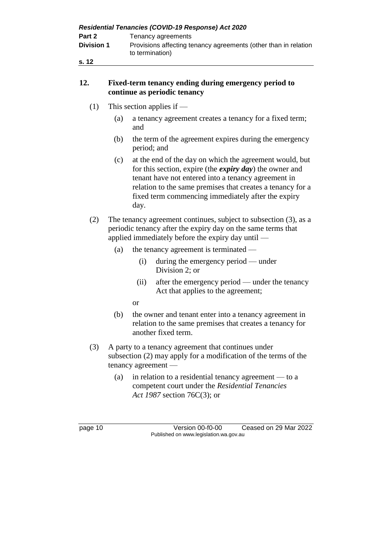| Residential Tenancies (COVID-19 Response) Act 2020 |                                                                                    |  |
|----------------------------------------------------|------------------------------------------------------------------------------------|--|
| Part 2                                             | Tenancy agreements                                                                 |  |
| <b>Division 1</b>                                  | Provisions affecting tenancy agreements (other than in relation<br>to termination) |  |
| s. 12                                              |                                                                                    |  |

### **12. Fixed-term tenancy ending during emergency period to continue as periodic tenancy**

- (1) This section applies if
	- (a) a tenancy agreement creates a tenancy for a fixed term; and
	- (b) the term of the agreement expires during the emergency period; and
	- (c) at the end of the day on which the agreement would, but for this section, expire (the *expiry day*) the owner and tenant have not entered into a tenancy agreement in relation to the same premises that creates a tenancy for a fixed term commencing immediately after the expiry day.
- (2) The tenancy agreement continues, subject to subsection (3), as a periodic tenancy after the expiry day on the same terms that applied immediately before the expiry day until —
	- (a) the tenancy agreement is terminated
		- (i) during the emergency period under Division 2; or
		- (ii) after the emergency period under the tenancy Act that applies to the agreement;
		- or
	- (b) the owner and tenant enter into a tenancy agreement in relation to the same premises that creates a tenancy for another fixed term.
- (3) A party to a tenancy agreement that continues under subsection (2) may apply for a modification of the terms of the tenancy agreement —
	- (a) in relation to a residential tenancy agreement to a competent court under the *Residential Tenancies Act 1987* section 76C(3); or

page 10 Version 00-f0-00 Ceased on 29 Mar 2022 Published on www.legislation.wa.gov.au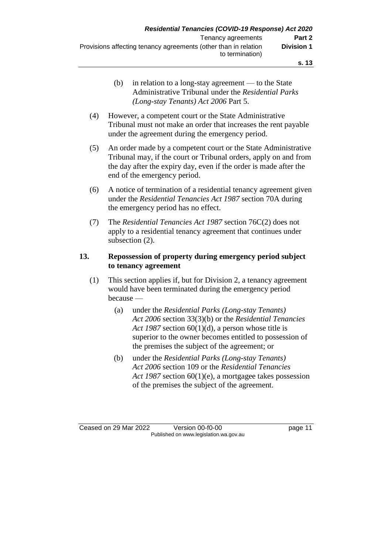- (b) in relation to a long-stay agreement to the State Administrative Tribunal under the *Residential Parks (Long-stay Tenants) Act 2006* Part 5.
- (4) However, a competent court or the State Administrative Tribunal must not make an order that increases the rent payable under the agreement during the emergency period.
- (5) An order made by a competent court or the State Administrative Tribunal may, if the court or Tribunal orders, apply on and from the day after the expiry day, even if the order is made after the end of the emergency period.
- (6) A notice of termination of a residential tenancy agreement given under the *Residential Tenancies Act 1987* section 70A during the emergency period has no effect.
- (7) The *Residential Tenancies Act 1987* section 76C(2) does not apply to a residential tenancy agreement that continues under subsection (2).

### **13. Repossession of property during emergency period subject to tenancy agreement**

- (1) This section applies if, but for Division 2, a tenancy agreement would have been terminated during the emergency period because —
	- (a) under the *Residential Parks (Long-stay Tenants) Act 2006* section 33(3)(b) or the *Residential Tenancies Act 1987* section 60(1)(d), a person whose title is superior to the owner becomes entitled to possession of the premises the subject of the agreement; or
	- (b) under the *Residential Parks (Long-stay Tenants) Act 2006* section 109 or the *Residential Tenancies Act 1987* section 60(1)(e), a mortgagee takes possession of the premises the subject of the agreement.

Ceased on 29 Mar 2022 Version 00-f0-00 page 11 Published on www.legislation.wa.gov.au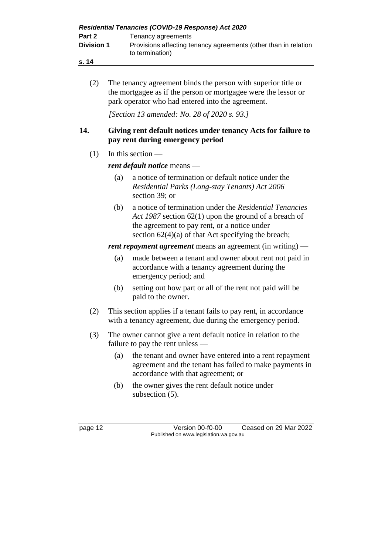|                   | <b>Residential Tenancies (COVID-19 Response) Act 2020</b>                          |
|-------------------|------------------------------------------------------------------------------------|
| Part 2            | Tenancy agreements                                                                 |
| <b>Division 1</b> | Provisions affecting tenancy agreements (other than in relation<br>to termination) |
| s. 14             |                                                                                    |

(2) The tenancy agreement binds the person with superior title or the mortgagee as if the person or mortgagee were the lessor or park operator who had entered into the agreement.

*[Section 13 amended: No. 28 of 2020 s. 93.]*

### **14. Giving rent default notices under tenancy Acts for failure to pay rent during emergency period**

 $(1)$  In this section —

## *rent default notice* means —

- (a) a notice of termination or default notice under the *Residential Parks (Long-stay Tenants) Act 2006* section 39; or
- (b) a notice of termination under the *Residential Tenancies Act 1987* section 62(1) upon the ground of a breach of the agreement to pay rent, or a notice under section  $62(4)(a)$  of that Act specifying the breach;

*rent repayment agreement* means an agreement (in writing) —

- (a) made between a tenant and owner about rent not paid in accordance with a tenancy agreement during the emergency period; and
- (b) setting out how part or all of the rent not paid will be paid to the owner.
- (2) This section applies if a tenant fails to pay rent, in accordance with a tenancy agreement, due during the emergency period.
- (3) The owner cannot give a rent default notice in relation to the failure to pay the rent unless —
	- (a) the tenant and owner have entered into a rent repayment agreement and the tenant has failed to make payments in accordance with that agreement; or
	- (b) the owner gives the rent default notice under subsection (5).

page 12 Version 00-f0-00 Ceased on 29 Mar 2022 Published on www.legislation.wa.gov.au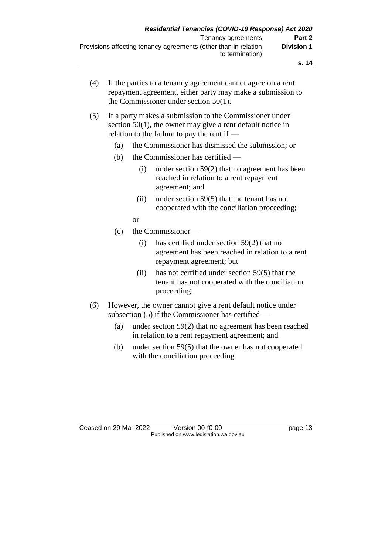| (4) | If the parties to a tenancy agreement cannot agree on a rent |
|-----|--------------------------------------------------------------|
|     | repayment agreement, either party may make a submission to   |
|     | the Commissioner under section $50(1)$ .                     |

### (5) If a party makes a submission to the Commissioner under section 50(1), the owner may give a rent default notice in relation to the failure to pay the rent if —

- (a) the Commissioner has dismissed the submission; or
- (b) the Commissioner has certified
	- (i) under section 59(2) that no agreement has been reached in relation to a rent repayment agreement; and
	- (ii) under section 59(5) that the tenant has not cooperated with the conciliation proceeding;
	- or
- (c) the Commissioner
	- (i) has certified under section 59(2) that no agreement has been reached in relation to a rent repayment agreement; but
	- (ii) has not certified under section 59(5) that the tenant has not cooperated with the conciliation proceeding.
- (6) However, the owner cannot give a rent default notice under subsection (5) if the Commissioner has certified —
	- (a) under section 59(2) that no agreement has been reached in relation to a rent repayment agreement; and
	- (b) under section 59(5) that the owner has not cooperated with the conciliation proceeding.

Ceased on 29 Mar 2022 Version 00-f0-00 page 13 Published on www.legislation.wa.gov.au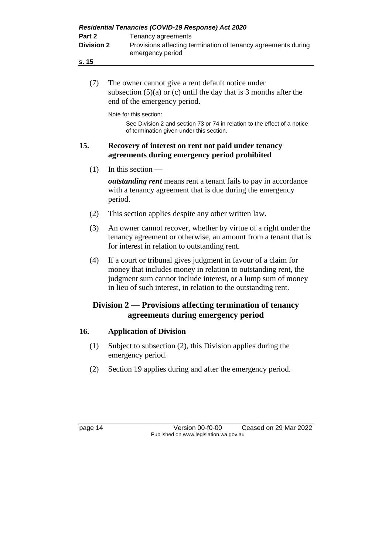| Part 2<br><b>Division 2</b><br>s. 15 | Residential Tenancies (COVID-19 Response) Act 2020<br>Tenancy agreements<br>Provisions affecting termination of tenancy agreements during<br>emergency period                                                                                                      |
|--------------------------------------|--------------------------------------------------------------------------------------------------------------------------------------------------------------------------------------------------------------------------------------------------------------------|
|                                      |                                                                                                                                                                                                                                                                    |
| (7)                                  | The owner cannot give a rent default notice under<br>subsection $(5)(a)$ or $(c)$ until the day that is 3 months after the<br>end of the emergency period.                                                                                                         |
|                                      | Note for this section:<br>See Division 2 and section 73 or 74 in relation to the effect of a notice<br>of termination given under this section.                                                                                                                    |
| 15.                                  | Recovery of interest on rent not paid under tenancy<br>agreements during emergency period prohibited                                                                                                                                                               |
| (1)                                  | In this section $-$                                                                                                                                                                                                                                                |
|                                      | <i>outstanding rent</i> means rent a tenant fails to pay in accordance<br>with a tenancy agreement that is due during the emergency<br>period.                                                                                                                     |
| (2)                                  | This section applies despite any other written law.                                                                                                                                                                                                                |
| (3)                                  | An owner cannot recover, whether by virtue of a right under the<br>tenancy agreement or otherwise, an amount from a tenant that is<br>for interest in relation to outstanding rent.                                                                                |
| (4)                                  | If a court or tribunal gives judgment in favour of a claim for<br>money that includes money in relation to outstanding rent, the<br>judgment sum cannot include interest, or a lump sum of money<br>in lieu of such interest, in relation to the outstanding rent. |
|                                      | Division 2 — Provisions affecting termination of tenancy<br>agreements during emergency period                                                                                                                                                                     |
| 16.                                  | <b>Application of Division</b>                                                                                                                                                                                                                                     |
| (1)                                  | Subject to subsection (2), this Division applies during the<br>emergency period.                                                                                                                                                                                   |
| (2)                                  | Section 19 applies during and after the emergency period.                                                                                                                                                                                                          |
|                                      |                                                                                                                                                                                                                                                                    |
| page 14                              | Version 00-f0-00<br>Ceased on 29 Mar 2022                                                                                                                                                                                                                          |

Published on www.legislation.wa.gov.au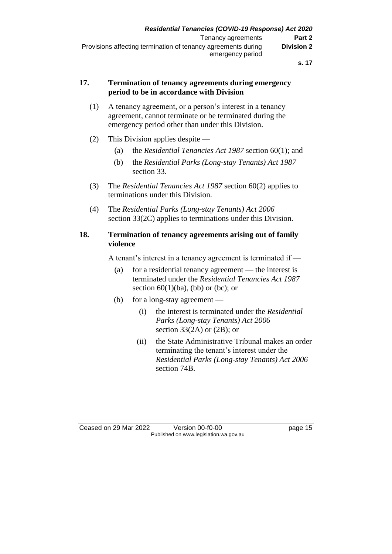#### **s. 17**

### **17. Termination of tenancy agreements during emergency period to be in accordance with Division**

- (1) A tenancy agreement, or a person's interest in a tenancy agreement, cannot terminate or be terminated during the emergency period other than under this Division.
- (2) This Division applies despite
	- (a) the *Residential Tenancies Act 1987* section 60(1); and
	- (b) the *Residential Parks (Long-stay Tenants) Act 1987* section 33.
- (3) The *Residential Tenancies Act 1987* section 60(2) applies to terminations under this Division.
- (4) The *Residential Parks (Long-stay Tenants) Act 2006* section 33(2C) applies to terminations under this Division.

### **18. Termination of tenancy agreements arising out of family violence**

A tenant's interest in a tenancy agreement is terminated if —

- (a) for a residential tenancy agreement the interest is terminated under the *Residential Tenancies Act 1987*  section  $60(1)(ba)$ , (bb) or (bc); or
- (b) for a long-stay agreement
	- (i) the interest is terminated under the *Residential Parks (Long-stay Tenants) Act 2006* section  $33(2A)$  or  $(2B)$ ; or
	- (ii) the State Administrative Tribunal makes an order terminating the tenant's interest under the *Residential Parks (Long-stay Tenants) Act 2006* section 74B.

Ceased on 29 Mar 2022 Version 00-f0-00 page 15 Published on www.legislation.wa.gov.au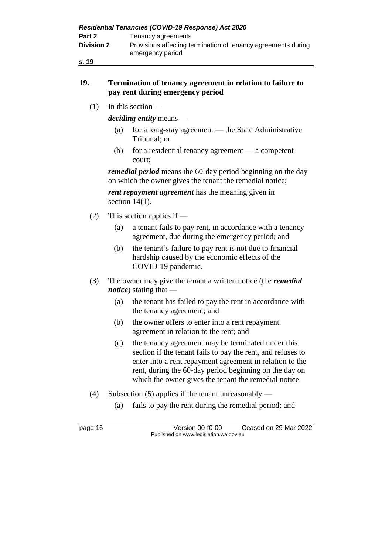| Residential Tenancies (COVID-19 Response) Act 2020 |                                                                                   |  |
|----------------------------------------------------|-----------------------------------------------------------------------------------|--|
| Part 2                                             | Tenancy agreements                                                                |  |
| <b>Division 2</b>                                  | Provisions affecting termination of tenancy agreements during<br>emergency period |  |
| s. 19                                              |                                                                                   |  |

### **19. Termination of tenancy agreement in relation to failure to pay rent during emergency period**

 $(1)$  In this section —

*deciding entity* means —

- (a) for a long-stay agreement the State Administrative Tribunal; or
- (b) for a residential tenancy agreement a competent court;

*remedial period* means the 60-day period beginning on the day on which the owner gives the tenant the remedial notice;

*rent repayment agreement* has the meaning given in section  $14(1)$ .

- (2) This section applies if
	- (a) a tenant fails to pay rent, in accordance with a tenancy agreement, due during the emergency period; and
	- (b) the tenant's failure to pay rent is not due to financial hardship caused by the economic effects of the COVID-19 pandemic.
- (3) The owner may give the tenant a written notice (the *remedial notice*) stating that —
	- (a) the tenant has failed to pay the rent in accordance with the tenancy agreement; and
	- (b) the owner offers to enter into a rent repayment agreement in relation to the rent; and
	- (c) the tenancy agreement may be terminated under this section if the tenant fails to pay the rent, and refuses to enter into a rent repayment agreement in relation to the rent, during the 60-day period beginning on the day on which the owner gives the tenant the remedial notice.
- (4) Subsection (5) applies if the tenant unreasonably
	- (a) fails to pay the rent during the remedial period; and

page 16 Version 00-f0-00 Ceased on 29 Mar 2022 Published on www.legislation.wa.gov.au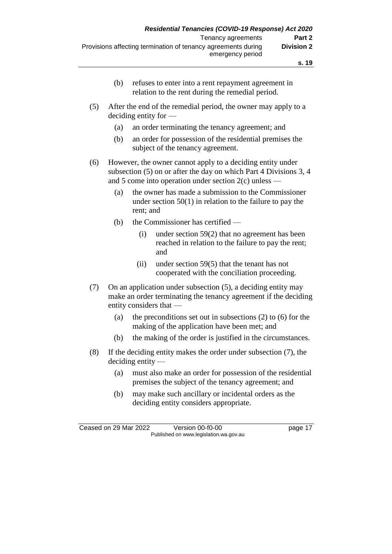|                                |     | emergency period                                                                                        |
|--------------------------------|-----|---------------------------------------------------------------------------------------------------------|
|                                |     |                                                                                                         |
|                                | (b) | refuses to enter into a rent repayment agreement in<br>relation to the rent during the remedial period. |
| (5)<br>deciding entity for $-$ |     | After the end of the remedial period, the owner may apply to a                                          |
|                                | (a) | an order terminating the tenancy agreement; and                                                         |
|                                | (b) | an order for possession of the residential premises the                                                 |

(6) However, the owner cannot apply to a deciding entity under subsection (5) on or after the day on which Part 4 Divisions 3, 4 and 5 come into operation under section 2(c) unless —

subject of the tenancy agreement.

- (a) the owner has made a submission to the Commissioner under section 50(1) in relation to the failure to pay the rent; and
- (b) the Commissioner has certified
	- (i) under section 59(2) that no agreement has been reached in relation to the failure to pay the rent; and
	- (ii) under section 59(5) that the tenant has not cooperated with the conciliation proceeding.
- (7) On an application under subsection (5), a deciding entity may make an order terminating the tenancy agreement if the deciding entity considers that —
	- (a) the preconditions set out in subsections (2) to (6) for the making of the application have been met; and
	- (b) the making of the order is justified in the circumstances.
- (8) If the deciding entity makes the order under subsection (7), the deciding entity —
	- (a) must also make an order for possession of the residential premises the subject of the tenancy agreement; and
	- (b) may make such ancillary or incidental orders as the deciding entity considers appropriate.

Ceased on 29 Mar 2022 Version 00-f0-00 page 17 Published on www.legislation.wa.gov.au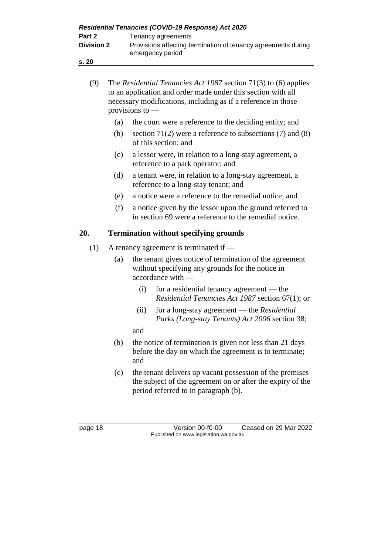| Residential Tenancies (COVID-19 Response) Act 2020 |                                                                                   |  |
|----------------------------------------------------|-----------------------------------------------------------------------------------|--|
| Part 2                                             | Tenancy agreements                                                                |  |
| <b>Division 2</b>                                  | Provisions affecting termination of tenancy agreements during<br>emergency period |  |
| s.20                                               |                                                                                   |  |
|                                                    |                                                                                   |  |

(9) The *Residential Tenancies Act 1987* section 71(3) to (6) applies

|     |     | to an application and order made under this section with all<br>necessary modifications, including as if a reference in those<br>provisions to $-$ |
|-----|-----|----------------------------------------------------------------------------------------------------------------------------------------------------|
|     | (a) | the court were a reference to the deciding entity; and                                                                                             |
|     | (b) | section 71(2) were a reference to subsections (7) and (8)<br>of this section; and                                                                  |
|     | (c) | a lessor were, in relation to a long-stay agreement, a<br>reference to a park operator; and                                                        |
|     | (d) | a tenant were, in relation to a long-stay agreement, a<br>reference to a long-stay tenant; and                                                     |
|     | (e) | a notice were a reference to the remedial notice; and                                                                                              |
|     | (f) | a notice given by the lessor upon the ground referred to<br>in section 69 were a reference to the remedial notice.                                 |
| 20. |     | <b>Termination without specifying grounds</b>                                                                                                      |
| (1) |     | A tenancy agreement is terminated if $-$                                                                                                           |
|     | (a) | the tenant gives notice of termination of the agreement<br>without specifying any grounds for the notice in<br>accordance with —                   |
|     |     | for a residential tenancy agreement — the<br>(i)<br><i>Residential Tenancies Act 1987 section 67(1); or</i>                                        |
|     |     | for a long-stay agreement — the Residential<br>(ii)<br>Parks (Long-stay Tenants) Act 2006 section 38;                                              |
|     |     | and                                                                                                                                                |
|     | (b) | the notice of termination is given not less than 21 days<br>before the day on which the agreement is to terminate;                                 |

- and (c) the tenant delivers up vacant possession of the premises
- the subject of the agreement on or after the expiry of the period referred to in paragraph (b).

page 18 Version 00-f0-00 Ceased on 29 Mar 2022 Published on www.legislation.wa.gov.au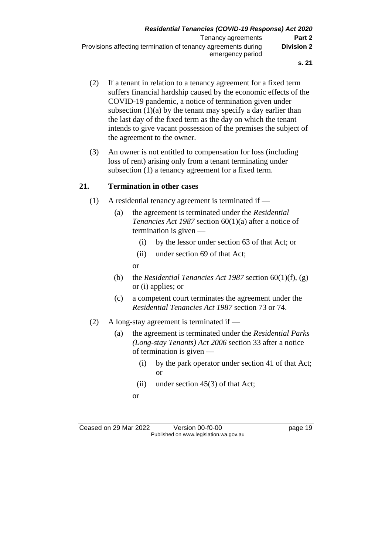- (2) If a tenant in relation to a tenancy agreement for a fixed term suffers financial hardship caused by the economic effects of the COVID-19 pandemic, a notice of termination given under subsection  $(1)(a)$  by the tenant may specify a day earlier than the last day of the fixed term as the day on which the tenant intends to give vacant possession of the premises the subject of the agreement to the owner.
- (3) An owner is not entitled to compensation for loss (including loss of rent) arising only from a tenant terminating under subsection (1) a tenancy agreement for a fixed term.

### **21. Termination in other cases**

- (1) A residential tenancy agreement is terminated if
	- (a) the agreement is terminated under the *Residential Tenancies Act 1987* section 60(1)(a) after a notice of termination is given —
		- (i) by the lessor under section 63 of that Act; or
		- (ii) under section 69 of that Act;

or

- (b) the *Residential Tenancies Act 1987* section 60(1)(f), (g) or (i) applies; or
- (c) a competent court terminates the agreement under the *Residential Tenancies Act 1987* section 73 or 74.
- (2) A long-stay agreement is terminated if
	- (a) the agreement is terminated under the *Residential Parks (Long-stay Tenants) Act 2006* section 33 after a notice of termination is given —
		- (i) by the park operator under section 41 of that Act; or
		- (ii) under section  $45(3)$  of that Act;
		- or

Ceased on 29 Mar 2022 Version 00-f0-00 page 19 Published on www.legislation.wa.gov.au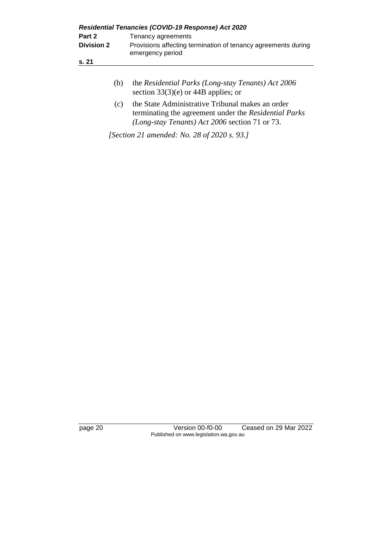| Residential Tenancies (COVID-19 Response) Act 2020 |                                                                                   |  |
|----------------------------------------------------|-----------------------------------------------------------------------------------|--|
| Part 2                                             | Tenancy agreements                                                                |  |
| <b>Division 2</b>                                  | Provisions affecting termination of tenancy agreements during<br>emergency period |  |
| s. 21                                              |                                                                                   |  |
|                                                    |                                                                                   |  |

| (b) | the Residential Parks (Long-stay Tenants) Act 2006 |
|-----|----------------------------------------------------|
|     | section $33(3)(e)$ or 44B applies; or              |

(c) the State Administrative Tribunal makes an order terminating the agreement under the *Residential Parks (Long-stay Tenants) Act 2006* section 71 or 73.

*[Section 21 amended: No. 28 of 2020 s. 93.]*

page 20 Version 00-f0-00 Ceased on 29 Mar 2022 Published on www.legislation.wa.gov.au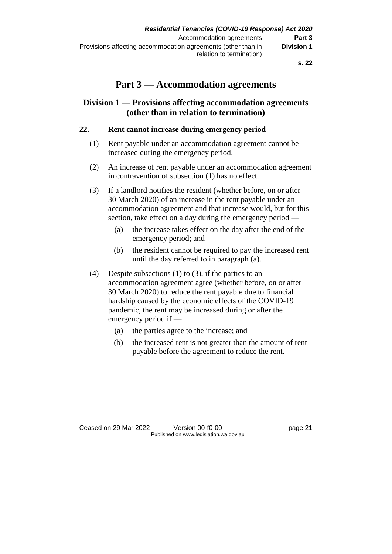## **Part 3 — Accommodation agreements**

## **Division 1 — Provisions affecting accommodation agreements (other than in relation to termination)**

## **22. Rent cannot increase during emergency period**

- (1) Rent payable under an accommodation agreement cannot be increased during the emergency period.
- (2) An increase of rent payable under an accommodation agreement in contravention of subsection (1) has no effect.
- (3) If a landlord notifies the resident (whether before, on or after 30 March 2020) of an increase in the rent payable under an accommodation agreement and that increase would, but for this section, take effect on a day during the emergency period —
	- (a) the increase takes effect on the day after the end of the emergency period; and
	- (b) the resident cannot be required to pay the increased rent until the day referred to in paragraph (a).
- (4) Despite subsections (1) to (3), if the parties to an accommodation agreement agree (whether before, on or after 30 March 2020) to reduce the rent payable due to financial hardship caused by the economic effects of the COVID-19 pandemic, the rent may be increased during or after the emergency period if —
	- (a) the parties agree to the increase; and
	- (b) the increased rent is not greater than the amount of rent payable before the agreement to reduce the rent.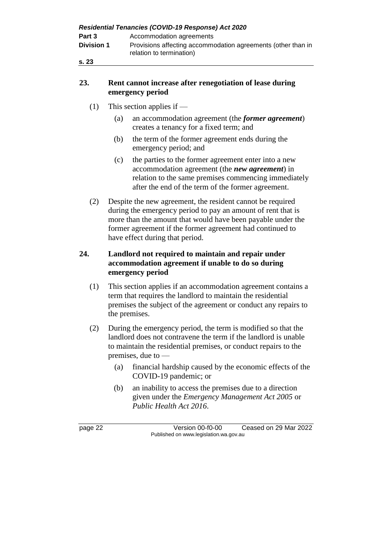| Residential Tenancies (COVID-19 Response) Act 2020 |                                                                                          |  |
|----------------------------------------------------|------------------------------------------------------------------------------------------|--|
| Part 3                                             | Accommodation agreements                                                                 |  |
| <b>Division 1</b>                                  | Provisions affecting accommodation agreements (other than in<br>relation to termination) |  |
| s.23                                               |                                                                                          |  |

### **23. Rent cannot increase after renegotiation of lease during emergency period**

- (1) This section applies if
	- (a) an accommodation agreement (the *former agreement*) creates a tenancy for a fixed term; and
	- (b) the term of the former agreement ends during the emergency period; and
	- (c) the parties to the former agreement enter into a new accommodation agreement (the *new agreement*) in relation to the same premises commencing immediately after the end of the term of the former agreement.
- (2) Despite the new agreement, the resident cannot be required during the emergency period to pay an amount of rent that is more than the amount that would have been payable under the former agreement if the former agreement had continued to have effect during that period.

### **24. Landlord not required to maintain and repair under accommodation agreement if unable to do so during emergency period**

- (1) This section applies if an accommodation agreement contains a term that requires the landlord to maintain the residential premises the subject of the agreement or conduct any repairs to the premises.
- (2) During the emergency period, the term is modified so that the landlord does not contravene the term if the landlord is unable to maintain the residential premises, or conduct repairs to the premises, due to —
	- (a) financial hardship caused by the economic effects of the COVID-19 pandemic; or
	- (b) an inability to access the premises due to a direction given under the *Emergency Management Act 2005* or *Public Health Act 2016*.

page 22 Version 00-f0-00 Ceased on 29 Mar 2022 Published on www.legislation.wa.gov.au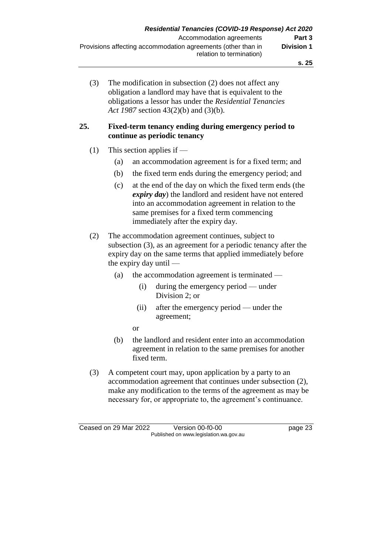(3) The modification in subsection (2) does not affect any obligation a landlord may have that is equivalent to the obligations a lessor has under the *Residential Tenancies Act 1987* section 43(2)(b) and (3)(b).

### **25. Fixed-term tenancy ending during emergency period to continue as periodic tenancy**

- (1) This section applies if
	- (a) an accommodation agreement is for a fixed term; and
	- (b) the fixed term ends during the emergency period; and
	- (c) at the end of the day on which the fixed term ends (the *expiry day*) the landlord and resident have not entered into an accommodation agreement in relation to the same premises for a fixed term commencing immediately after the expiry day.
- (2) The accommodation agreement continues, subject to subsection (3), as an agreement for a periodic tenancy after the expiry day on the same terms that applied immediately before the expiry day until —
	- (a) the accommodation agreement is terminated
		- (i) during the emergency period under Division 2; or
		- (ii) after the emergency period under the agreement;
		- or
	- (b) the landlord and resident enter into an accommodation agreement in relation to the same premises for another fixed term.
- (3) A competent court may, upon application by a party to an accommodation agreement that continues under subsection (2), make any modification to the terms of the agreement as may be necessary for, or appropriate to, the agreement's continuance.

Ceased on 29 Mar 2022 Version 00-f0-00 page 23 Published on www.legislation.wa.gov.au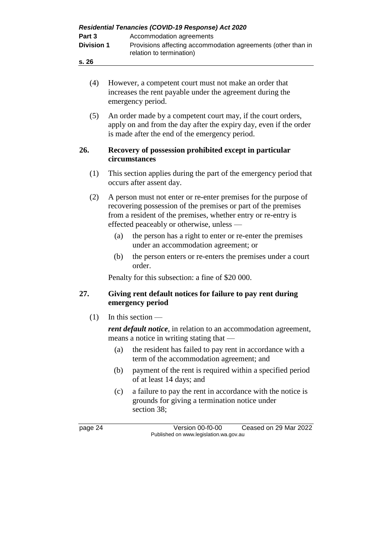| Part 3<br><b>Division 1</b> |                                                                                | Residential Tenancies (COVID-19 Response) Act 2020<br>Accommodation agreements<br>Provisions affecting accommodation agreements (other than in<br>relation to termination)                                                                     |
|-----------------------------|--------------------------------------------------------------------------------|------------------------------------------------------------------------------------------------------------------------------------------------------------------------------------------------------------------------------------------------|
| s. 26                       |                                                                                |                                                                                                                                                                                                                                                |
| (4)                         |                                                                                | However, a competent court must not make an order that<br>increases the rent payable under the agreement during the<br>emergency period.                                                                                                       |
| (5)                         |                                                                                | An order made by a competent court may, if the court orders,<br>apply on and from the day after the expiry day, even if the order<br>is made after the end of the emergency period.                                                            |
| 26.                         |                                                                                | Recovery of possession prohibited except in particular<br>circumstances                                                                                                                                                                        |
| (1)                         |                                                                                | This section applies during the part of the emergency period that<br>occurs after assent day.                                                                                                                                                  |
| (2)                         |                                                                                | A person must not enter or re-enter premises for the purpose of<br>recovering possession of the premises or part of the premises<br>from a resident of the premises, whether entry or re-entry is<br>effected peaceably or otherwise, unless - |
|                             | (a)                                                                            | the person has a right to enter or re-enter the premises<br>under an accommodation agreement; or                                                                                                                                               |
|                             | (b)                                                                            | the person enters or re-enters the premises under a court<br>order.                                                                                                                                                                            |
|                             |                                                                                | Penalty for this subsection: a fine of \$20 000.                                                                                                                                                                                               |
| 27.                         | Giving rent default notices for failure to pay rent during<br>emergency period |                                                                                                                                                                                                                                                |
| (1)                         |                                                                                | In this section $-$                                                                                                                                                                                                                            |
|                             |                                                                                | <i>rent default notice</i> , in relation to an accommodation agreement,<br>means a notice in writing stating that -                                                                                                                            |
|                             | (a)                                                                            | the resident has failed to pay rent in accordance with a<br>term of the accommodation agreement; and                                                                                                                                           |
|                             | (b)                                                                            | payment of the rent is required within a specified period<br>of at least 14 days; and                                                                                                                                                          |
|                             | (c)                                                                            | a failure to pay the rent in accordance with the notice is<br>grounds for giving a termination notice under<br>section 38;                                                                                                                     |
| page 24                     |                                                                                | Version 00-f0-00<br>Ceased on 29 Mar 2022<br>Published on www.legislation.wa.gov.au                                                                                                                                                            |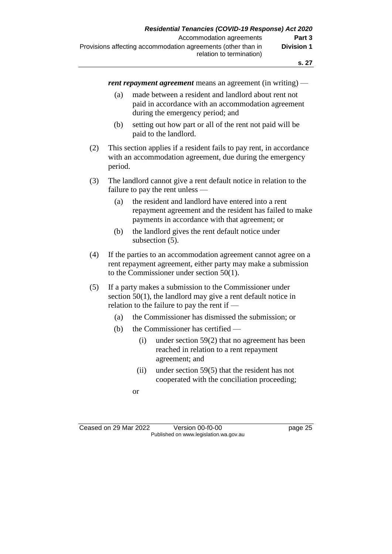*rent repayment agreement* means an agreement (in writing) —

- (a) made between a resident and landlord about rent not paid in accordance with an accommodation agreement during the emergency period; and
- (b) setting out how part or all of the rent not paid will be paid to the landlord.
- (2) This section applies if a resident fails to pay rent, in accordance with an accommodation agreement, due during the emergency period.
- (3) The landlord cannot give a rent default notice in relation to the failure to pay the rent unless —
	- (a) the resident and landlord have entered into a rent repayment agreement and the resident has failed to make payments in accordance with that agreement; or
	- (b) the landlord gives the rent default notice under subsection (5).
- (4) If the parties to an accommodation agreement cannot agree on a rent repayment agreement, either party may make a submission to the Commissioner under section 50(1).
- (5) If a party makes a submission to the Commissioner under section 50(1), the landlord may give a rent default notice in relation to the failure to pay the rent if —
	- (a) the Commissioner has dismissed the submission; or
	- (b) the Commissioner has certified
		- (i) under section 59(2) that no agreement has been reached in relation to a rent repayment agreement; and
		- (ii) under section 59(5) that the resident has not cooperated with the conciliation proceeding;
		- or

Ceased on 29 Mar 2022 Version 00-f0-00 Page 25 Published on www.legislation.wa.gov.au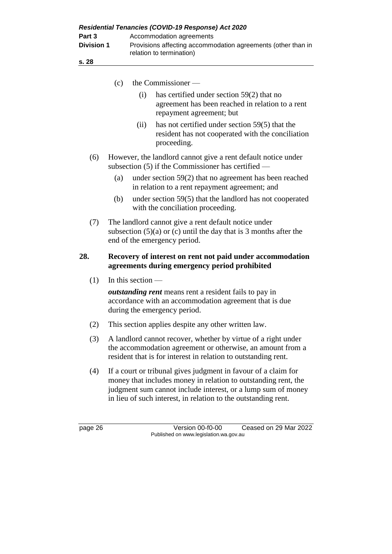| Part 3                     |     | Residential Tenancies (COVID-19 Response) Act 2020<br>Accommodation agreements                                                                                                                                                                                     |
|----------------------------|-----|--------------------------------------------------------------------------------------------------------------------------------------------------------------------------------------------------------------------------------------------------------------------|
| <b>Division 1</b><br>s. 28 |     | Provisions affecting accommodation agreements (other than in<br>relation to termination)                                                                                                                                                                           |
|                            |     |                                                                                                                                                                                                                                                                    |
|                            | (c) | the Commissioner —                                                                                                                                                                                                                                                 |
|                            |     | has certified under section $59(2)$ that no<br>(i)<br>agreement has been reached in relation to a rent<br>repayment agreement; but                                                                                                                                 |
|                            |     | has not certified under section 59(5) that the<br>(ii)<br>resident has not cooperated with the conciliation<br>proceeding.                                                                                                                                         |
| (6)                        |     | However, the landlord cannot give a rent default notice under<br>subsection $(5)$ if the Commissioner has certified —                                                                                                                                              |
|                            | (a) | under section $59(2)$ that no agreement has been reached<br>in relation to a rent repayment agreement; and                                                                                                                                                         |
|                            | (b) | under section $59(5)$ that the landlord has not cooperated<br>with the conciliation proceeding.                                                                                                                                                                    |
| (7)                        |     | The landlord cannot give a rent default notice under<br>subsection $(5)(a)$ or $(c)$ until the day that is 3 months after the<br>end of the emergency period.                                                                                                      |
| 28.                        |     | Recovery of interest on rent not paid under accommodation<br>agreements during emergency period prohibited                                                                                                                                                         |
| (1)                        |     | In this section $-$                                                                                                                                                                                                                                                |
|                            |     | <i>outstanding rent</i> means rent a resident fails to pay in<br>accordance with an accommodation agreement that is due<br>during the emergency period.                                                                                                            |
| (2)                        |     | This section applies despite any other written law.                                                                                                                                                                                                                |
| (3)                        |     | A landlord cannot recover, whether by virtue of a right under<br>the accommodation agreement or otherwise, an amount from a<br>resident that is for interest in relation to outstanding rent.                                                                      |
| (4)                        |     | If a court or tribunal gives judgment in favour of a claim for<br>money that includes money in relation to outstanding rent, the<br>judgment sum cannot include interest, or a lump sum of money<br>in lieu of such interest, in relation to the outstanding rent. |
|                            |     |                                                                                                                                                                                                                                                                    |

page 26 Version 00-f0-00 Ceased on 29 Mar 2022 Published on www.legislation.wa.gov.au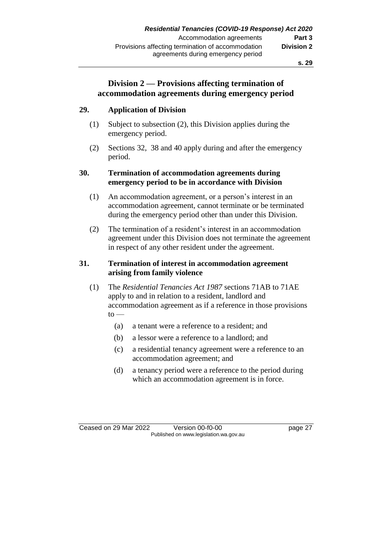## **Division 2 — Provisions affecting termination of accommodation agreements during emergency period**

### **29. Application of Division**

- (1) Subject to subsection (2), this Division applies during the emergency period.
- (2) Sections 32, 38 and 40 apply during and after the emergency period.

### **30. Termination of accommodation agreements during emergency period to be in accordance with Division**

- (1) An accommodation agreement, or a person's interest in an accommodation agreement, cannot terminate or be terminated during the emergency period other than under this Division.
- (2) The termination of a resident's interest in an accommodation agreement under this Division does not terminate the agreement in respect of any other resident under the agreement.

### **31. Termination of interest in accommodation agreement arising from family violence**

- (1) The *Residential Tenancies Act 1987* sections 71AB to 71AE apply to and in relation to a resident, landlord and accommodation agreement as if a reference in those provisions  $to -$ 
	- (a) a tenant were a reference to a resident; and
	- (b) a lessor were a reference to a landlord; and
	- (c) a residential tenancy agreement were a reference to an accommodation agreement; and
	- (d) a tenancy period were a reference to the period during which an accommodation agreement is in force.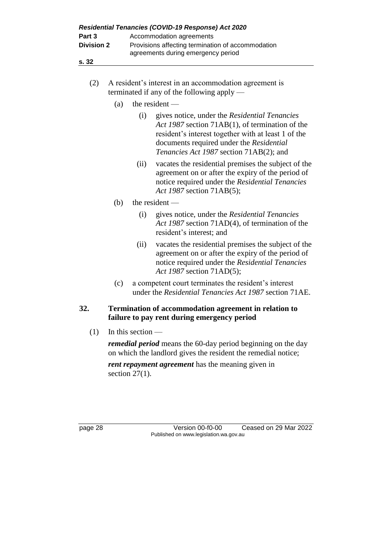| Residential Tenancies (COVID-19 Response) Act 2020 |                                                                                         |  |
|----------------------------------------------------|-----------------------------------------------------------------------------------------|--|
| Part 3                                             | Accommodation agreements                                                                |  |
| <b>Division 2</b>                                  | Provisions affecting termination of accommodation<br>agreements during emergency period |  |
| s. 32                                              |                                                                                         |  |

- (2) A resident's interest in an accommodation agreement is terminated if any of the following apply —
	- (a) the resident  $-$ 
		- (i) gives notice, under the *Residential Tenancies Act 1987* section 71AB(1), of termination of the resident's interest together with at least 1 of the documents required under the *Residential Tenancies Act 1987* section 71AB(2); and
		- (ii) vacates the residential premises the subject of the agreement on or after the expiry of the period of notice required under the *Residential Tenancies Act 1987* section 71AB(5);
	- (b) the resident
		- (i) gives notice, under the *Residential Tenancies Act 1987* section 71AD(4), of termination of the resident's interest; and
		- (ii) vacates the residential premises the subject of the agreement on or after the expiry of the period of notice required under the *Residential Tenancies Act 1987* section 71AD(5);
	- (c) a competent court terminates the resident's interest under the *Residential Tenancies Act 1987* section 71AE.

### **32. Termination of accommodation agreement in relation to failure to pay rent during emergency period**

 $(1)$  In this section —

*remedial period* means the 60-day period beginning on the day on which the landlord gives the resident the remedial notice;

*rent repayment agreement* has the meaning given in section 27(1).

page 28 Version 00-f0-00 Ceased on 29 Mar 2022 Published on www.legislation.wa.gov.au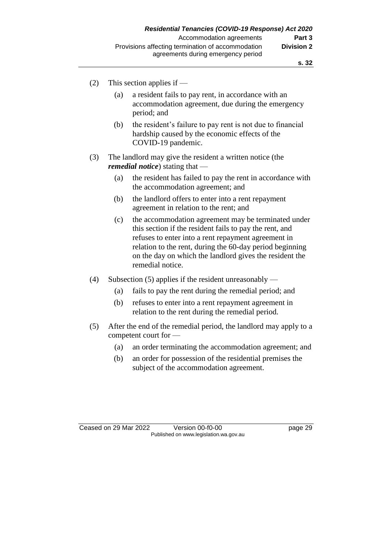- (2) This section applies if
	- (a) a resident fails to pay rent, in accordance with an accommodation agreement, due during the emergency period; and
	- (b) the resident's failure to pay rent is not due to financial hardship caused by the economic effects of the COVID-19 pandemic.
- (3) The landlord may give the resident a written notice (the *remedial notice*) stating that —
	- (a) the resident has failed to pay the rent in accordance with the accommodation agreement; and
	- (b) the landlord offers to enter into a rent repayment agreement in relation to the rent; and
	- (c) the accommodation agreement may be terminated under this section if the resident fails to pay the rent, and refuses to enter into a rent repayment agreement in relation to the rent, during the 60-day period beginning on the day on which the landlord gives the resident the remedial notice.
- (4) Subsection (5) applies if the resident unreasonably
	- (a) fails to pay the rent during the remedial period; and
	- (b) refuses to enter into a rent repayment agreement in relation to the rent during the remedial period.
- (5) After the end of the remedial period, the landlord may apply to a competent court for —
	- (a) an order terminating the accommodation agreement; and
	- (b) an order for possession of the residential premises the subject of the accommodation agreement.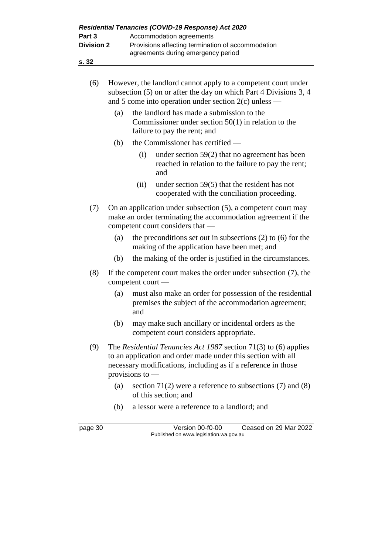| s. 32<br>(6)<br>However, the landlord cannot apply to a competent court under<br>subsection (5) on or after the day on which Part 4 Divisions 3, 4<br>and 5 come into operation under section $2(c)$ unless —<br>the landlord has made a submission to the<br>(a)<br>Commissioner under section $50(1)$ in relation to the<br>failure to pay the rent; and<br>the Commissioner has certified —<br>(b)<br>(i)<br>under section $59(2)$ that no agreement has been<br>reached in relation to the failure to pay the rent;<br>and<br>(ii)<br>under section $59(5)$ that the resident has not<br>cooperated with the conciliation proceeding.<br>On an application under subsection (5), a competent court may<br>(7)<br>make an order terminating the accommodation agreement if the<br>competent court considers that -<br>the preconditions set out in subsections $(2)$ to $(6)$ for the<br>(a)<br>making of the application have been met; and |  |
|-------------------------------------------------------------------------------------------------------------------------------------------------------------------------------------------------------------------------------------------------------------------------------------------------------------------------------------------------------------------------------------------------------------------------------------------------------------------------------------------------------------------------------------------------------------------------------------------------------------------------------------------------------------------------------------------------------------------------------------------------------------------------------------------------------------------------------------------------------------------------------------------------------------------------------------------------|--|
|                                                                                                                                                                                                                                                                                                                                                                                                                                                                                                                                                                                                                                                                                                                                                                                                                                                                                                                                                 |  |
|                                                                                                                                                                                                                                                                                                                                                                                                                                                                                                                                                                                                                                                                                                                                                                                                                                                                                                                                                 |  |
|                                                                                                                                                                                                                                                                                                                                                                                                                                                                                                                                                                                                                                                                                                                                                                                                                                                                                                                                                 |  |
|                                                                                                                                                                                                                                                                                                                                                                                                                                                                                                                                                                                                                                                                                                                                                                                                                                                                                                                                                 |  |
|                                                                                                                                                                                                                                                                                                                                                                                                                                                                                                                                                                                                                                                                                                                                                                                                                                                                                                                                                 |  |
|                                                                                                                                                                                                                                                                                                                                                                                                                                                                                                                                                                                                                                                                                                                                                                                                                                                                                                                                                 |  |
|                                                                                                                                                                                                                                                                                                                                                                                                                                                                                                                                                                                                                                                                                                                                                                                                                                                                                                                                                 |  |
|                                                                                                                                                                                                                                                                                                                                                                                                                                                                                                                                                                                                                                                                                                                                                                                                                                                                                                                                                 |  |
| the making of the order is justified in the circumstances.<br>(b)                                                                                                                                                                                                                                                                                                                                                                                                                                                                                                                                                                                                                                                                                                                                                                                                                                                                               |  |
| (8)<br>If the competent court makes the order under subsection $(7)$ , the<br>competent court -                                                                                                                                                                                                                                                                                                                                                                                                                                                                                                                                                                                                                                                                                                                                                                                                                                                 |  |
| (a)<br>must also make an order for possession of the residential<br>premises the subject of the accommodation agreement;<br>and                                                                                                                                                                                                                                                                                                                                                                                                                                                                                                                                                                                                                                                                                                                                                                                                                 |  |
| (b)<br>may make such ancillary or incidental orders as the<br>competent court considers appropriate.                                                                                                                                                                                                                                                                                                                                                                                                                                                                                                                                                                                                                                                                                                                                                                                                                                            |  |
| (9)<br>The Residential Tenancies Act 1987 section $71(3)$ to (6) applies<br>to an application and order made under this section with all<br>necessary modifications, including as if a reference in those<br>provisions to -                                                                                                                                                                                                                                                                                                                                                                                                                                                                                                                                                                                                                                                                                                                    |  |
| (a)<br>section 71(2) were a reference to subsections (7) and (8)<br>of this section; and                                                                                                                                                                                                                                                                                                                                                                                                                                                                                                                                                                                                                                                                                                                                                                                                                                                        |  |
| a lessor were a reference to a landlord; and<br>(b)                                                                                                                                                                                                                                                                                                                                                                                                                                                                                                                                                                                                                                                                                                                                                                                                                                                                                             |  |
| Version 00-f0-00 Cessed on 20 Mar 2022<br>naga 30                                                                                                                                                                                                                                                                                                                                                                                                                                                                                                                                                                                                                                                                                                                                                                                                                                                                                               |  |

page 30 Version 00-f0-00 Ceased on 29 Mar 2022 Published on www.legislation.wa.gov.au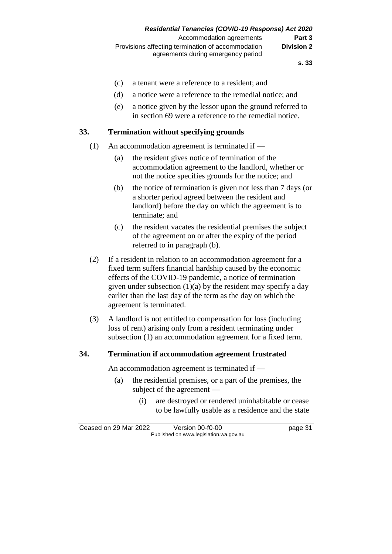- (c) a tenant were a reference to a resident; and
- (d) a notice were a reference to the remedial notice; and
- (e) a notice given by the lessor upon the ground referred to in section 69 were a reference to the remedial notice.

#### **33. Termination without specifying grounds**

- (1) An accommodation agreement is terminated if
	- (a) the resident gives notice of termination of the accommodation agreement to the landlord, whether or not the notice specifies grounds for the notice; and
	- (b) the notice of termination is given not less than 7 days (or a shorter period agreed between the resident and landlord) before the day on which the agreement is to terminate; and
	- (c) the resident vacates the residential premises the subject of the agreement on or after the expiry of the period referred to in paragraph (b).
- (2) If a resident in relation to an accommodation agreement for a fixed term suffers financial hardship caused by the economic effects of the COVID-19 pandemic, a notice of termination given under subsection  $(1)(a)$  by the resident may specify a day earlier than the last day of the term as the day on which the agreement is terminated.
- (3) A landlord is not entitled to compensation for loss (including loss of rent) arising only from a resident terminating under subsection (1) an accommodation agreement for a fixed term.

#### **34. Termination if accommodation agreement frustrated**

An accommodation agreement is terminated if —

- (a) the residential premises, or a part of the premises, the subject of the agreement —
	- (i) are destroyed or rendered uninhabitable or cease to be lawfully usable as a residence and the state

Ceased on 29 Mar 2022 Version 00-f0-00 page 31 Published on www.legislation.wa.gov.au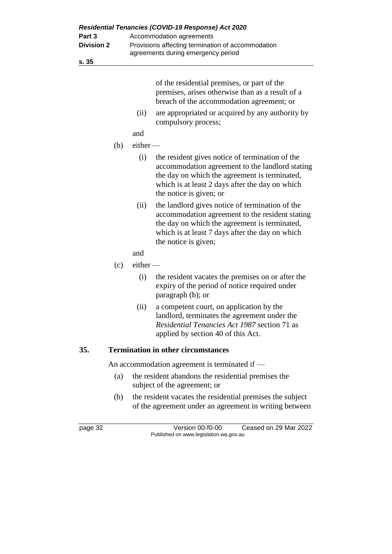| Part 3<br><b>Division 2</b> | Residential Tenancies (COVID-19 Response) Act 2020<br>Accommodation agreements<br>Provisions affecting termination of accommodation |                                                                                                                                                                                                                                   |  |  |  |  |
|-----------------------------|-------------------------------------------------------------------------------------------------------------------------------------|-----------------------------------------------------------------------------------------------------------------------------------------------------------------------------------------------------------------------------------|--|--|--|--|
|                             |                                                                                                                                     | agreements during emergency period                                                                                                                                                                                                |  |  |  |  |
| s. 35                       |                                                                                                                                     |                                                                                                                                                                                                                                   |  |  |  |  |
|                             |                                                                                                                                     | of the residential premises, or part of the<br>premises, arises otherwise than as a result of a<br>breach of the accommodation agreement; or                                                                                      |  |  |  |  |
|                             | (ii)                                                                                                                                | are appropriated or acquired by any authority by<br>compulsory process;                                                                                                                                                           |  |  |  |  |
|                             | and                                                                                                                                 |                                                                                                                                                                                                                                   |  |  |  |  |
| (b)                         | $either$ —                                                                                                                          |                                                                                                                                                                                                                                   |  |  |  |  |
|                             | (i)                                                                                                                                 | the resident gives notice of termination of the<br>accommodation agreement to the landlord stating<br>the day on which the agreement is terminated,<br>which is at least 2 days after the day on which<br>the notice is given; or |  |  |  |  |
|                             | (ii)                                                                                                                                | the landlord gives notice of termination of the<br>accommodation agreement to the resident stating<br>the day on which the agreement is terminated,<br>which is at least 7 days after the day on which<br>the notice is given;    |  |  |  |  |
|                             | and                                                                                                                                 |                                                                                                                                                                                                                                   |  |  |  |  |
| (c)                         | $e$ ither —                                                                                                                         |                                                                                                                                                                                                                                   |  |  |  |  |
|                             | (i)                                                                                                                                 | the resident vacates the premises on or after the<br>expiry of the period of notice required under<br>paragraph (b); or                                                                                                           |  |  |  |  |
|                             | (ii)                                                                                                                                | a competent court, on application by the<br>landlord, terminates the agreement under the<br>Residential Tenancies Act 1987 section 71 as<br>applied by section 40 of this Act.                                                    |  |  |  |  |
| 35.                         |                                                                                                                                     | <b>Termination in other circumstances</b>                                                                                                                                                                                         |  |  |  |  |
|                             | An accommodation agreement is terminated if $-$                                                                                     |                                                                                                                                                                                                                                   |  |  |  |  |
| (a)                         |                                                                                                                                     | the resident abandons the residential premises the                                                                                                                                                                                |  |  |  |  |

subject of the agreement; or (b) the resident vacates the residential premises the subject of the agreement under an agreement in writing between

page 32 Version 00-f0-00 Ceased on 29 Mar 2022 Published on www.legislation.wa.gov.au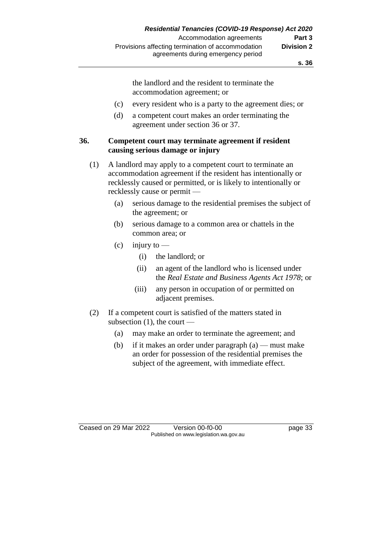the landlord and the resident to terminate the accommodation agreement; or

- (c) every resident who is a party to the agreement dies; or
- (d) a competent court makes an order terminating the agreement under section 36 or 37.

### **36. Competent court may terminate agreement if resident causing serious damage or injury**

- (1) A landlord may apply to a competent court to terminate an accommodation agreement if the resident has intentionally or recklessly caused or permitted, or is likely to intentionally or recklessly cause or permit —
	- (a) serious damage to the residential premises the subject of the agreement; or
	- (b) serious damage to a common area or chattels in the common area; or
	- $(c)$  injury to
		- (i) the landlord; or
		- (ii) an agent of the landlord who is licensed under the *Real Estate and Business Agents Act 1978*; or
		- (iii) any person in occupation of or permitted on adjacent premises.
- (2) If a competent court is satisfied of the matters stated in subsection  $(1)$ , the court —
	- (a) may make an order to terminate the agreement; and
	- (b) if it makes an order under paragraph  $(a)$  must make an order for possession of the residential premises the subject of the agreement, with immediate effect.

Ceased on 29 Mar 2022 Version 00-f0-00 page 33 Published on www.legislation.wa.gov.au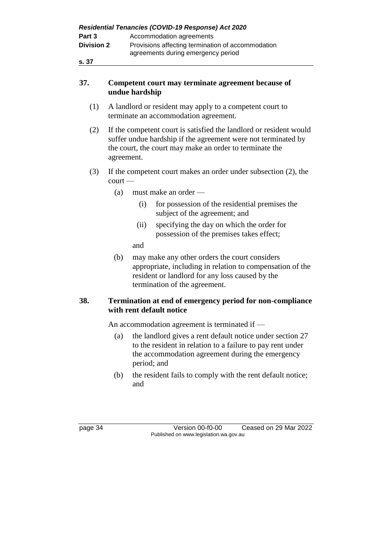| Residential Tenancies (COVID-19 Response) Act 2020 |                                                                                         |  |  |  |  |  |
|----------------------------------------------------|-----------------------------------------------------------------------------------------|--|--|--|--|--|
| Part 3                                             | Accommodation agreements                                                                |  |  |  |  |  |
| <b>Division 2</b>                                  | Provisions affecting termination of accommodation<br>agreements during emergency period |  |  |  |  |  |
| s. 37                                              |                                                                                         |  |  |  |  |  |

### **37. Competent court may terminate agreement because of undue hardship**

- (1) A landlord or resident may apply to a competent court to terminate an accommodation agreement.
- (2) If the competent court is satisfied the landlord or resident would suffer undue hardship if the agreement were not terminated by the court, the court may make an order to terminate the agreement.
- (3) If the competent court makes an order under subsection (2), the court —
	- (a) must make an order
		- (i) for possession of the residential premises the subject of the agreement; and
		- (ii) specifying the day on which the order for possession of the premises takes effect;

and

(b) may make any other orders the court considers appropriate, including in relation to compensation of the resident or landlord for any loss caused by the termination of the agreement.

## **38. Termination at end of emergency period for non-compliance with rent default notice**

An accommodation agreement is terminated if —

- (a) the landlord gives a rent default notice under section 27 to the resident in relation to a failure to pay rent under the accommodation agreement during the emergency period; and
- (b) the resident fails to comply with the rent default notice; and

page 34 Version 00-f0-00 Ceased on 29 Mar 2022 Published on www.legislation.wa.gov.au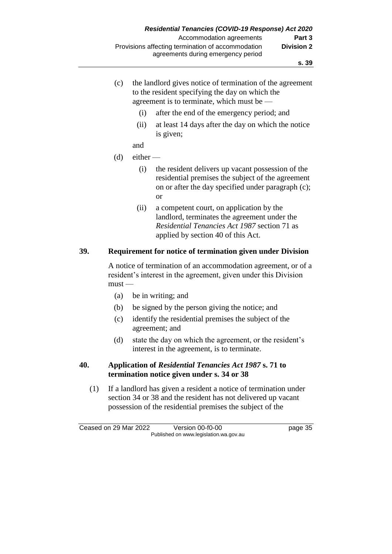- (c) the landlord gives notice of termination of the agreement to the resident specifying the day on which the agreement is to terminate, which must be —
	- (i) after the end of the emergency period; and
	- (ii) at least 14 days after the day on which the notice is given;
	- and
- $(d)$  either
	- (i) the resident delivers up vacant possession of the residential premises the subject of the agreement on or after the day specified under paragraph (c); or
	- (ii) a competent court, on application by the landlord, terminates the agreement under the *Residential Tenancies Act 1987* section 71 as applied by section 40 of this Act.

### **39. Requirement for notice of termination given under Division**

A notice of termination of an accommodation agreement, or of a resident's interest in the agreement, given under this Division must —

- (a) be in writing; and
- (b) be signed by the person giving the notice; and
- (c) identify the residential premises the subject of the agreement; and
- (d) state the day on which the agreement, or the resident's interest in the agreement, is to terminate.

### **40. Application of** *Residential Tenancies Act 1987* **s. 71 to termination notice given under s. 34 or 38**

(1) If a landlord has given a resident a notice of termination under section 34 or 38 and the resident has not delivered up vacant possession of the residential premises the subject of the

Ceased on 29 Mar 2022 Version 00-f0-00 page 35 Published on www.legislation.wa.gov.au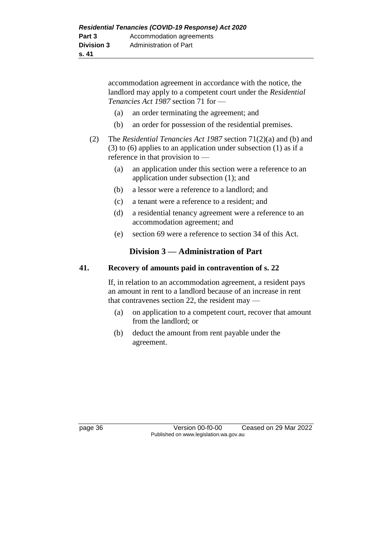accommodation agreement in accordance with the notice, the landlord may apply to a competent court under the *Residential Tenancies Act 1987* section 71 for —

- (a) an order terminating the agreement; and
- (b) an order for possession of the residential premises.
- (2) The *Residential Tenancies Act 1987* section 71(2)(a) and (b) and (3) to (6) applies to an application under subsection (1) as if a reference in that provision to —
	- (a) an application under this section were a reference to an application under subsection (1); and
	- (b) a lessor were a reference to a landlord; and
	- (c) a tenant were a reference to a resident; and
	- (d) a residential tenancy agreement were a reference to an accommodation agreement; and
	- (e) section 69 were a reference to section 34 of this Act.

## **Division 3 — Administration of Part**

### **41. Recovery of amounts paid in contravention of s. 22**

If, in relation to an accommodation agreement, a resident pays an amount in rent to a landlord because of an increase in rent that contravenes section 22, the resident may —

- (a) on application to a competent court, recover that amount from the landlord; or
- (b) deduct the amount from rent payable under the agreement.

page 36 Version 00-f0-00 Ceased on 29 Mar 2022 Published on www.legislation.wa.gov.au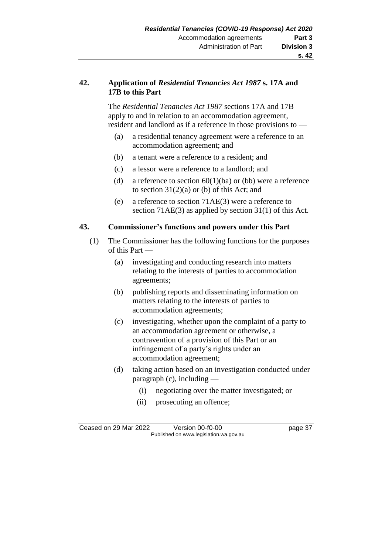### **42. Application of** *Residential Tenancies Act 1987* **s. 17A and 17B to this Part**

The *Residential Tenancies Act 1987* sections 17A and 17B apply to and in relation to an accommodation agreement, resident and landlord as if a reference in those provisions to —

- (a) a residential tenancy agreement were a reference to an accommodation agreement; and
- (b) a tenant were a reference to a resident; and
- (c) a lessor were a reference to a landlord; and
- (d) a reference to section  $60(1)(ba)$  or (bb) were a reference to section  $31(2)(a)$  or (b) of this Act; and
- (e) a reference to section 71AE(3) were a reference to section 71AE(3) as applied by section 31(1) of this Act.

### **43. Commissioner's functions and powers under this Part**

- (1) The Commissioner has the following functions for the purposes of this Part —
	- (a) investigating and conducting research into matters relating to the interests of parties to accommodation agreements;
	- (b) publishing reports and disseminating information on matters relating to the interests of parties to accommodation agreements;
	- (c) investigating, whether upon the complaint of a party to an accommodation agreement or otherwise, a contravention of a provision of this Part or an infringement of a party's rights under an accommodation agreement;
	- (d) taking action based on an investigation conducted under paragraph (c), including —
		- (i) negotiating over the matter investigated; or
		- (ii) prosecuting an offence;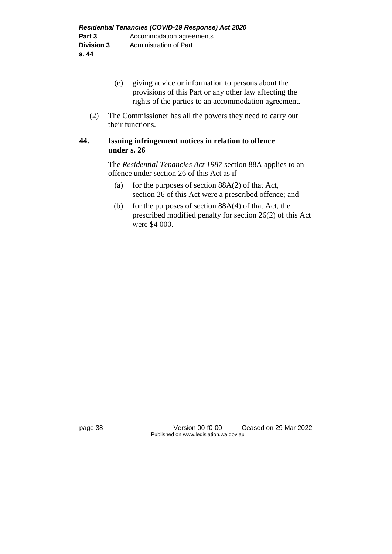- (e) giving advice or information to persons about the provisions of this Part or any other law affecting the rights of the parties to an accommodation agreement.
- (2) The Commissioner has all the powers they need to carry out their functions.

### **44. Issuing infringement notices in relation to offence under s. 26**

The *Residential Tenancies Act 1987* section 88A applies to an offence under section 26 of this Act as if —

- (a) for the purposes of section  $88A(2)$  of that Act, section 26 of this Act were a prescribed offence; and
- (b) for the purposes of section  $88A(4)$  of that Act, the prescribed modified penalty for section 26(2) of this Act were \$4 000.

page 38 Version 00-f0-00 Ceased on 29 Mar 2022 Published on www.legislation.wa.gov.au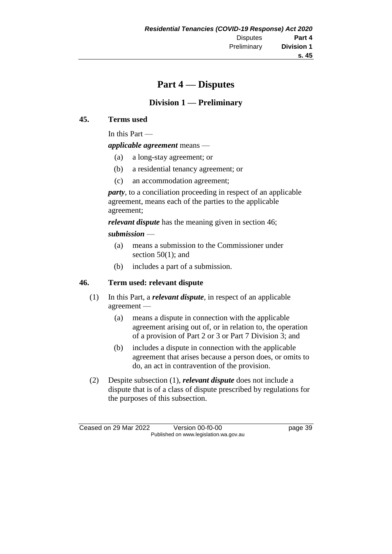## **Part 4 — Disputes**

## **Division 1 — Preliminary**

### **45. Terms used**

In this Part —

*applicable agreement* means —

- (a) a long-stay agreement; or
- (b) a residential tenancy agreement; or
- (c) an accommodation agreement;

*party*, to a conciliation proceeding in respect of an applicable agreement, means each of the parties to the applicable agreement;

*relevant dispute* has the meaning given in section 46; *submission* —

- (a) means a submission to the Commissioner under section 50(1); and
- (b) includes a part of a submission.

### **46. Term used: relevant dispute**

- (1) In this Part, a *relevant dispute*, in respect of an applicable agreement —
	- (a) means a dispute in connection with the applicable agreement arising out of, or in relation to, the operation of a provision of Part 2 or 3 or Part 7 Division 3; and
	- (b) includes a dispute in connection with the applicable agreement that arises because a person does, or omits to do, an act in contravention of the provision.
- (2) Despite subsection (1), *relevant dispute* does not include a dispute that is of a class of dispute prescribed by regulations for the purposes of this subsection.

Ceased on 29 Mar 2022 Version 00-f0-00 page 39 Published on www.legislation.wa.gov.au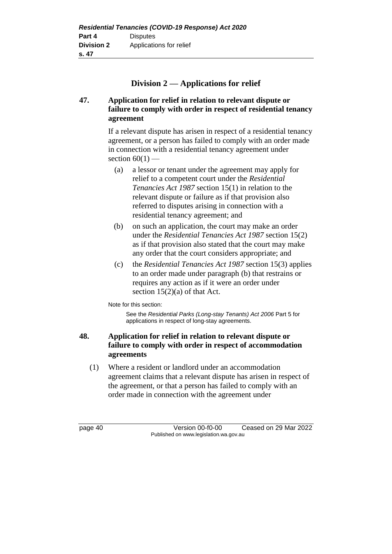## **Division 2 — Applications for relief**

## **47. Application for relief in relation to relevant dispute or failure to comply with order in respect of residential tenancy agreement**

If a relevant dispute has arisen in respect of a residential tenancy agreement, or a person has failed to comply with an order made in connection with a residential tenancy agreement under section  $60(1)$  —

- (a) a lessor or tenant under the agreement may apply for relief to a competent court under the *Residential Tenancies Act 1987* section 15(1) in relation to the relevant dispute or failure as if that provision also referred to disputes arising in connection with a residential tenancy agreement; and
- (b) on such an application, the court may make an order under the *Residential Tenancies Act 1987* section 15(2) as if that provision also stated that the court may make any order that the court considers appropriate; and
- (c) the *Residential Tenancies Act 1987* section 15(3) applies to an order made under paragraph (b) that restrains or requires any action as if it were an order under section 15(2)(a) of that Act.

Note for this section:

See the *Residential Parks (Long-stay Tenants) Act 2006* Part 5 for applications in respect of long-stay agreements.

## **48. Application for relief in relation to relevant dispute or failure to comply with order in respect of accommodation agreements**

(1) Where a resident or landlord under an accommodation agreement claims that a relevant dispute has arisen in respect of the agreement, or that a person has failed to comply with an order made in connection with the agreement under

page 40 Version 00-f0-00 Ceased on 29 Mar 2022 Published on www.legislation.wa.gov.au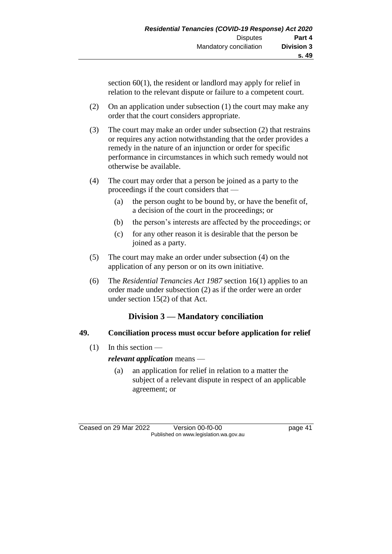section 60(1), the resident or landlord may apply for relief in relation to the relevant dispute or failure to a competent court.

- (2) On an application under subsection (1) the court may make any order that the court considers appropriate.
- (3) The court may make an order under subsection (2) that restrains or requires any action notwithstanding that the order provides a remedy in the nature of an injunction or order for specific performance in circumstances in which such remedy would not otherwise be available.
- (4) The court may order that a person be joined as a party to the proceedings if the court considers that —
	- (a) the person ought to be bound by, or have the benefit of, a decision of the court in the proceedings; or
	- (b) the person's interests are affected by the proceedings; or
	- (c) for any other reason it is desirable that the person be joined as a party.
- (5) The court may make an order under subsection (4) on the application of any person or on its own initiative.
- (6) The *Residential Tenancies Act 1987* section 16(1) applies to an order made under subsection (2) as if the order were an order under section 15(2) of that Act.

## **Division 3 — Mandatory conciliation**

## **49. Conciliation process must occur before application for relief**

(1) In this section —

*relevant application* means —

(a) an application for relief in relation to a matter the subject of a relevant dispute in respect of an applicable agreement; or

Ceased on 29 Mar 2022 Version 00-f0-00 page 41 Published on www.legislation.wa.gov.au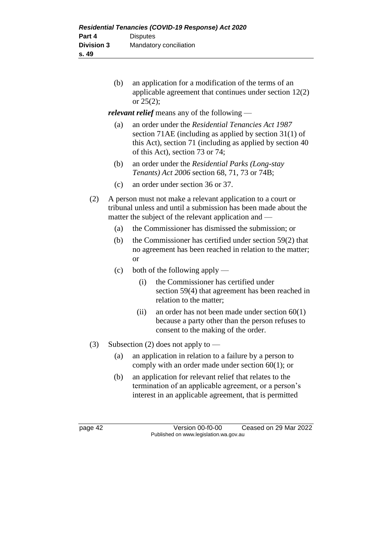(b) an application for a modification of the terms of an applicable agreement that continues under section 12(2) or 25(2);

*relevant relief* means any of the following —

- (a) an order under the *Residential Tenancies Act 1987*  section 71AE (including as applied by section 31(1) of this Act), section 71 (including as applied by section 40 of this Act), section 73 or 74;
- (b) an order under the *Residential Parks (Long-stay Tenants) Act 2006* section 68, 71, 73 or 74B;
- (c) an order under section 36 or 37.
- (2) A person must not make a relevant application to a court or tribunal unless and until a submission has been made about the matter the subject of the relevant application and —
	- (a) the Commissioner has dismissed the submission; or
	- (b) the Commissioner has certified under section 59(2) that no agreement has been reached in relation to the matter; or
	- (c) both of the following apply
		- (i) the Commissioner has certified under section 59(4) that agreement has been reached in relation to the matter;
		- (ii) an order has not been made under section 60(1) because a party other than the person refuses to consent to the making of the order.
- (3) Subsection (2) does not apply to
	- (a) an application in relation to a failure by a person to comply with an order made under section 60(1); or
	- (b) an application for relevant relief that relates to the termination of an applicable agreement, or a person's interest in an applicable agreement, that is permitted

page 42 Version 00-f0-00 Ceased on 29 Mar 2022 Published on www.legislation.wa.gov.au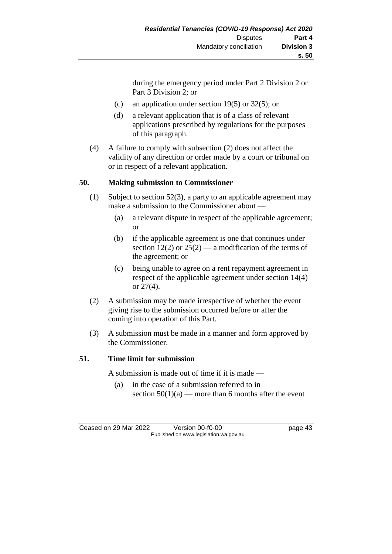during the emergency period under Part 2 Division 2 or Part 3 Division 2; or

- (c) an application under section 19(5) or 32(5); or
- (d) a relevant application that is of a class of relevant applications prescribed by regulations for the purposes of this paragraph.
- (4) A failure to comply with subsection (2) does not affect the validity of any direction or order made by a court or tribunal on or in respect of a relevant application.

## **50. Making submission to Commissioner**

- (1) Subject to section 52(3), a party to an applicable agreement may make a submission to the Commissioner about —
	- (a) a relevant dispute in respect of the applicable agreement; or
	- (b) if the applicable agreement is one that continues under section 12(2) or  $25(2)$  — a modification of the terms of the agreement; or
	- (c) being unable to agree on a rent repayment agreement in respect of the applicable agreement under section 14(4) or 27(4).
- (2) A submission may be made irrespective of whether the event giving rise to the submission occurred before or after the coming into operation of this Part.
- (3) A submission must be made in a manner and form approved by the Commissioner.

### **51. Time limit for submission**

A submission is made out of time if it is made —

(a) in the case of a submission referred to in section  $50(1)(a)$  — more than 6 months after the event

Ceased on 29 Mar 2022 Version 00-f0-00 page 43 Published on www.legislation.wa.gov.au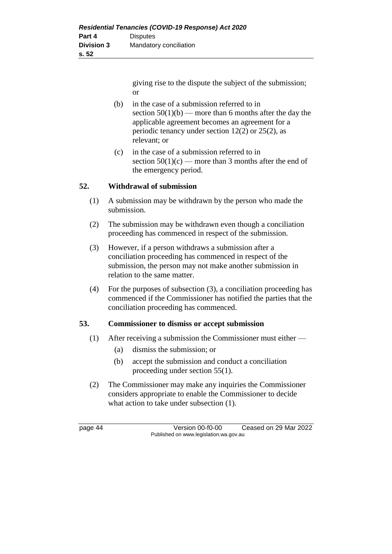giving rise to the dispute the subject of the submission; or

- (b) in the case of a submission referred to in section  $50(1)(b)$  — more than 6 months after the day the applicable agreement becomes an agreement for a periodic tenancy under section 12(2) or 25(2), as relevant; or
- (c) in the case of a submission referred to in section  $50(1)(c)$  — more than 3 months after the end of the emergency period.

### **52. Withdrawal of submission**

- (1) A submission may be withdrawn by the person who made the submission.
- (2) The submission may be withdrawn even though a conciliation proceeding has commenced in respect of the submission.
- (3) However, if a person withdraws a submission after a conciliation proceeding has commenced in respect of the submission, the person may not make another submission in relation to the same matter.
- (4) For the purposes of subsection (3), a conciliation proceeding has commenced if the Commissioner has notified the parties that the conciliation proceeding has commenced.

### **53. Commissioner to dismiss or accept submission**

- (1) After receiving a submission the Commissioner must either
	- (a) dismiss the submission; or
	- (b) accept the submission and conduct a conciliation proceeding under section 55(1).
- (2) The Commissioner may make any inquiries the Commissioner considers appropriate to enable the Commissioner to decide what action to take under subsection  $(1)$ .

page 44 Version 00-f0-00 Ceased on 29 Mar 2022 Published on www.legislation.wa.gov.au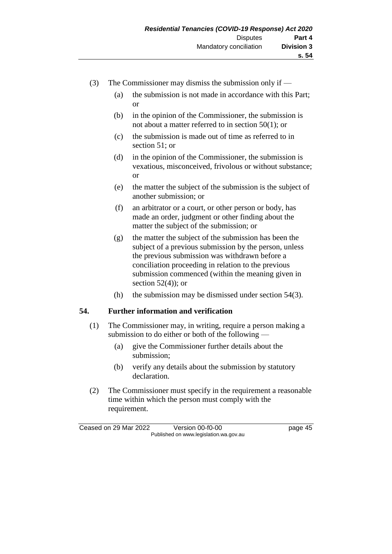- (3) The Commissioner may dismiss the submission only if
	- (a) the submission is not made in accordance with this Part; or
	- (b) in the opinion of the Commissioner, the submission is not about a matter referred to in section 50(1); or
	- (c) the submission is made out of time as referred to in section 51; or
	- (d) in the opinion of the Commissioner, the submission is vexatious, misconceived, frivolous or without substance; or
	- (e) the matter the subject of the submission is the subject of another submission; or
	- (f) an arbitrator or a court, or other person or body, has made an order, judgment or other finding about the matter the subject of the submission; or
	- (g) the matter the subject of the submission has been the subject of a previous submission by the person, unless the previous submission was withdrawn before a conciliation proceeding in relation to the previous submission commenced (within the meaning given in section  $52(4)$ ; or
	- (h) the submission may be dismissed under section  $54(3)$ .

### **54. Further information and verification**

- (1) The Commissioner may, in writing, require a person making a submission to do either or both of the following —
	- (a) give the Commissioner further details about the submission;
	- (b) verify any details about the submission by statutory declaration.
- (2) The Commissioner must specify in the requirement a reasonable time within which the person must comply with the requirement.

Ceased on 29 Mar 2022 Version 00-f0-00 page 45 Published on www.legislation.wa.gov.au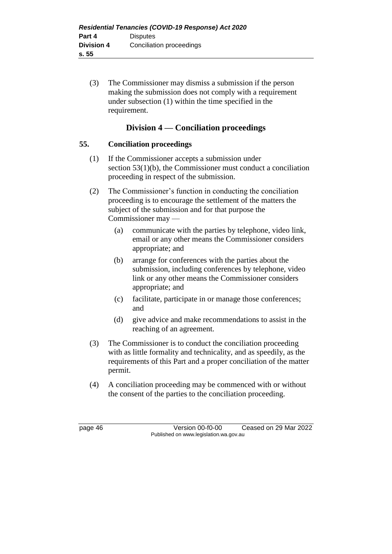(3) The Commissioner may dismiss a submission if the person making the submission does not comply with a requirement under subsection (1) within the time specified in the requirement.

## **Division 4 — Conciliation proceedings**

### **55. Conciliation proceedings**

- (1) If the Commissioner accepts a submission under section 53(1)(b), the Commissioner must conduct a conciliation proceeding in respect of the submission.
- (2) The Commissioner's function in conducting the conciliation proceeding is to encourage the settlement of the matters the subject of the submission and for that purpose the Commissioner may —
	- (a) communicate with the parties by telephone, video link, email or any other means the Commissioner considers appropriate; and
	- (b) arrange for conferences with the parties about the submission, including conferences by telephone, video link or any other means the Commissioner considers appropriate; and
	- (c) facilitate, participate in or manage those conferences; and
	- (d) give advice and make recommendations to assist in the reaching of an agreement.
- (3) The Commissioner is to conduct the conciliation proceeding with as little formality and technicality, and as speedily, as the requirements of this Part and a proper conciliation of the matter permit.
- (4) A conciliation proceeding may be commenced with or without the consent of the parties to the conciliation proceeding.

page 46 Version 00-f0-00 Ceased on 29 Mar 2022 Published on www.legislation.wa.gov.au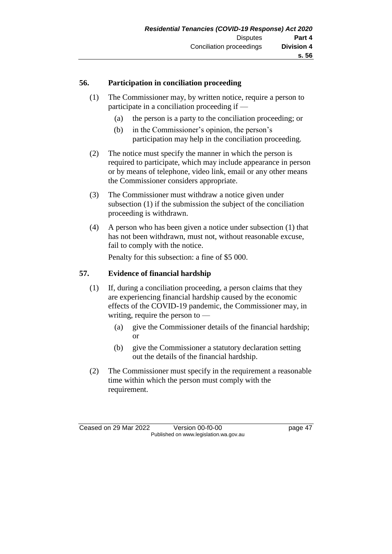### **56. Participation in conciliation proceeding**

- (1) The Commissioner may, by written notice, require a person to participate in a conciliation proceeding if —
	- (a) the person is a party to the conciliation proceeding; or
	- (b) in the Commissioner's opinion, the person's participation may help in the conciliation proceeding.
- (2) The notice must specify the manner in which the person is required to participate, which may include appearance in person or by means of telephone, video link, email or any other means the Commissioner considers appropriate.
- (3) The Commissioner must withdraw a notice given under subsection (1) if the submission the subject of the conciliation proceeding is withdrawn.
- (4) A person who has been given a notice under subsection (1) that has not been withdrawn, must not, without reasonable excuse, fail to comply with the notice.

Penalty for this subsection: a fine of \$5 000.

### **57. Evidence of financial hardship**

- (1) If, during a conciliation proceeding, a person claims that they are experiencing financial hardship caused by the economic effects of the COVID-19 pandemic, the Commissioner may, in writing, require the person to —
	- (a) give the Commissioner details of the financial hardship; or
	- (b) give the Commissioner a statutory declaration setting out the details of the financial hardship.
- (2) The Commissioner must specify in the requirement a reasonable time within which the person must comply with the requirement.

Ceased on 29 Mar 2022 Version 00-f0-00 page 47 Published on www.legislation.wa.gov.au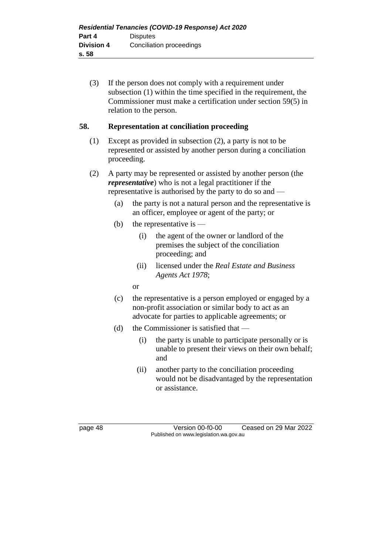(3) If the person does not comply with a requirement under subsection (1) within the time specified in the requirement, the Commissioner must make a certification under section 59(5) in relation to the person.

### **58. Representation at conciliation proceeding**

- (1) Except as provided in subsection (2), a party is not to be represented or assisted by another person during a conciliation proceeding.
- (2) A party may be represented or assisted by another person (the *representative*) who is not a legal practitioner if the representative is authorised by the party to do so and —
	- (a) the party is not a natural person and the representative is an officer, employee or agent of the party; or
	- (b) the representative is  $-$ 
		- (i) the agent of the owner or landlord of the premises the subject of the conciliation proceeding; and
		- (ii) licensed under the *Real Estate and Business Agents Act 1978*;
		- or
	- (c) the representative is a person employed or engaged by a non-profit association or similar body to act as an advocate for parties to applicable agreements; or
	- (d) the Commissioner is satisfied that
		- (i) the party is unable to participate personally or is unable to present their views on their own behalf; and
		- (ii) another party to the conciliation proceeding would not be disadvantaged by the representation or assistance.

page 48 Version 00-f0-00 Ceased on 29 Mar 2022 Published on www.legislation.wa.gov.au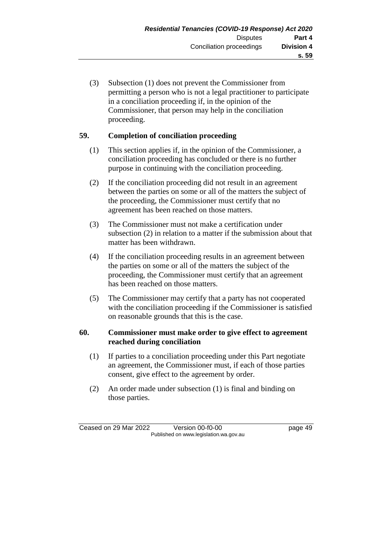(3) Subsection (1) does not prevent the Commissioner from permitting a person who is not a legal practitioner to participate in a conciliation proceeding if, in the opinion of the Commissioner, that person may help in the conciliation proceeding.

## **59. Completion of conciliation proceeding**

- (1) This section applies if, in the opinion of the Commissioner, a conciliation proceeding has concluded or there is no further purpose in continuing with the conciliation proceeding.
- (2) If the conciliation proceeding did not result in an agreement between the parties on some or all of the matters the subject of the proceeding, the Commissioner must certify that no agreement has been reached on those matters.
- (3) The Commissioner must not make a certification under subsection (2) in relation to a matter if the submission about that matter has been withdrawn.
- (4) If the conciliation proceeding results in an agreement between the parties on some or all of the matters the subject of the proceeding, the Commissioner must certify that an agreement has been reached on those matters.
- (5) The Commissioner may certify that a party has not cooperated with the conciliation proceeding if the Commissioner is satisfied on reasonable grounds that this is the case.

### **60. Commissioner must make order to give effect to agreement reached during conciliation**

- (1) If parties to a conciliation proceeding under this Part negotiate an agreement, the Commissioner must, if each of those parties consent, give effect to the agreement by order.
- (2) An order made under subsection (1) is final and binding on those parties.

Ceased on 29 Mar 2022 Version 00-f0-00 page 49 Published on www.legislation.wa.gov.au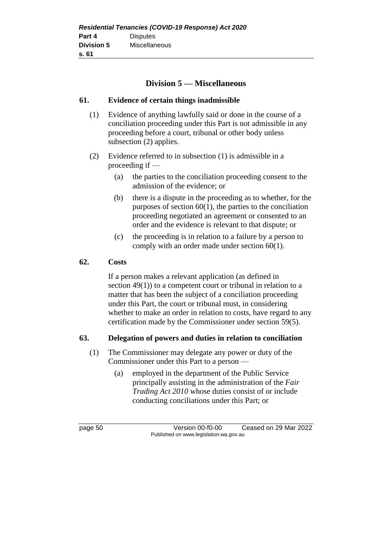## **Division 5 — Miscellaneous**

### **61. Evidence of certain things inadmissible**

- (1) Evidence of anything lawfully said or done in the course of a conciliation proceeding under this Part is not admissible in any proceeding before a court, tribunal or other body unless subsection (2) applies.
- (2) Evidence referred to in subsection (1) is admissible in a proceeding if —
	- (a) the parties to the conciliation proceeding consent to the admission of the evidence; or
	- (b) there is a dispute in the proceeding as to whether, for the purposes of section  $60(1)$ , the parties to the conciliation proceeding negotiated an agreement or consented to an order and the evidence is relevant to that dispute; or
	- (c) the proceeding is in relation to a failure by a person to comply with an order made under section 60(1).

### **62. Costs**

If a person makes a relevant application (as defined in section 49(1)) to a competent court or tribunal in relation to a matter that has been the subject of a conciliation proceeding under this Part, the court or tribunal must, in considering whether to make an order in relation to costs, have regard to any certification made by the Commissioner under section 59(5).

### **63. Delegation of powers and duties in relation to conciliation**

- (1) The Commissioner may delegate any power or duty of the Commissioner under this Part to a person —
	- (a) employed in the department of the Public Service principally assisting in the administration of the *Fair Trading Act 2010* whose duties consist of or include conducting conciliations under this Part; or

page 50 Version 00-f0-00 Ceased on 29 Mar 2022 Published on www.legislation.wa.gov.au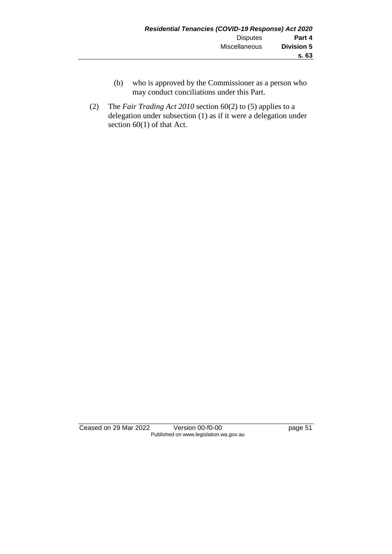- (b) who is approved by the Commissioner as a person who may conduct conciliations under this Part.
- (2) The *Fair Trading Act 2010* section 60(2) to (5) applies to a delegation under subsection (1) as if it were a delegation under section 60(1) of that Act.

Ceased on 29 Mar 2022 Version 00-f0-00 page 51 Published on www.legislation.wa.gov.au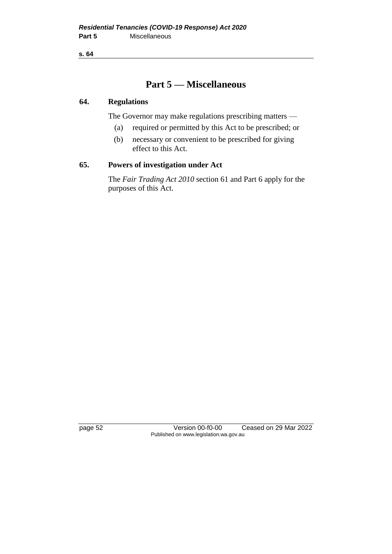**s. 64**

## **Part 5 — Miscellaneous**

### **64. Regulations**

The Governor may make regulations prescribing matters —

- (a) required or permitted by this Act to be prescribed; or
- (b) necessary or convenient to be prescribed for giving effect to this Act.

### **65. Powers of investigation under Act**

The *Fair Trading Act 2010* section 61 and Part 6 apply for the purposes of this Act.

page 52 Version 00-f0-00 Ceased on 29 Mar 2022 Published on www.legislation.wa.gov.au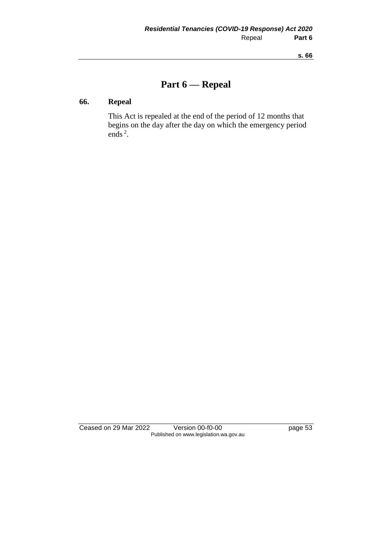# **Part 6 — Repeal**

## **66. Repeal**

This Act is repealed at the end of the period of 12 months that begins on the day after the day on which the emergency period ends<sup>2</sup>.

Ceased on 29 Mar 2022 Version 00-f0-00 page 53 Published on www.legislation.wa.gov.au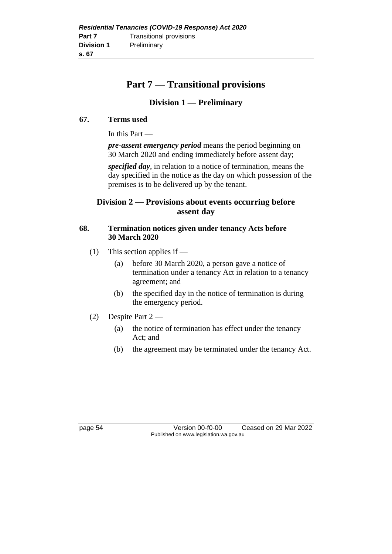# **Part 7 — Transitional provisions**

## **Division 1 — Preliminary**

### **67. Terms used**

In this Part —

*pre-assent emergency period* means the period beginning on 30 March 2020 and ending immediately before assent day;

*specified day*, in relation to a notice of termination, means the day specified in the notice as the day on which possession of the premises is to be delivered up by the tenant.

## **Division 2 — Provisions about events occurring before assent day**

### **68. Termination notices given under tenancy Acts before 30 March 2020**

- (1) This section applies if
	- (a) before 30 March 2020, a person gave a notice of termination under a tenancy Act in relation to a tenancy agreement; and
	- (b) the specified day in the notice of termination is during the emergency period.
- (2) Despite Part 2
	- (a) the notice of termination has effect under the tenancy Act; and
	- (b) the agreement may be terminated under the tenancy Act.

page 54 Version 00-f0-00 Ceased on 29 Mar 2022 Published on www.legislation.wa.gov.au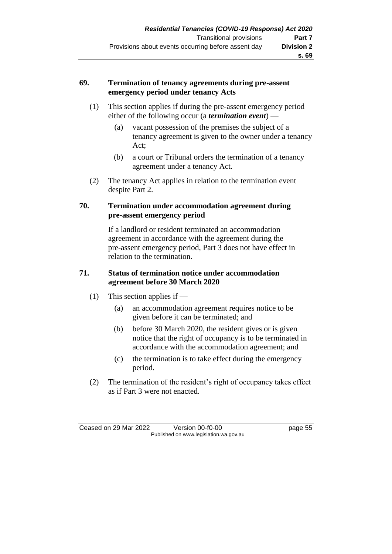### **69. Termination of tenancy agreements during pre-assent emergency period under tenancy Acts**

- (1) This section applies if during the pre-assent emergency period either of the following occur (a *termination event*) —
	- (a) vacant possession of the premises the subject of a tenancy agreement is given to the owner under a tenancy Act;
	- (b) a court or Tribunal orders the termination of a tenancy agreement under a tenancy Act.
- (2) The tenancy Act applies in relation to the termination event despite Part 2.

### **70. Termination under accommodation agreement during pre-assent emergency period**

If a landlord or resident terminated an accommodation agreement in accordance with the agreement during the pre-assent emergency period, Part 3 does not have effect in relation to the termination.

### **71. Status of termination notice under accommodation agreement before 30 March 2020**

- (1) This section applies if
	- (a) an accommodation agreement requires notice to be given before it can be terminated; and
	- (b) before 30 March 2020, the resident gives or is given notice that the right of occupancy is to be terminated in accordance with the accommodation agreement; and
	- (c) the termination is to take effect during the emergency period.
- (2) The termination of the resident's right of occupancy takes effect as if Part 3 were not enacted.

Ceased on 29 Mar 2022 Version 00-f0-00 page 55 Published on www.legislation.wa.gov.au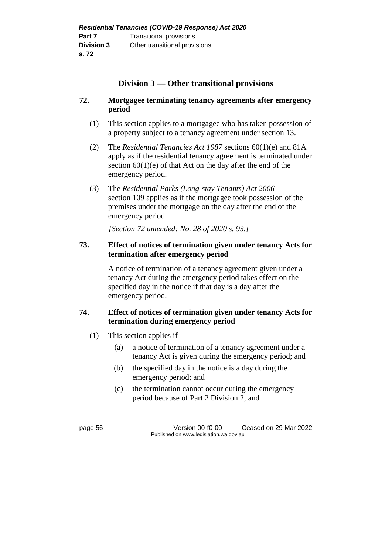## **Division 3 — Other transitional provisions**

### **72. Mortgagee terminating tenancy agreements after emergency period**

- (1) This section applies to a mortgagee who has taken possession of a property subject to a tenancy agreement under section 13.
- (2) The *Residential Tenancies Act 1987* sections 60(1)(e) and 81A apply as if the residential tenancy agreement is terminated under section  $60(1)(e)$  of that Act on the day after the end of the emergency period.
- (3) The *Residential Parks (Long-stay Tenants) Act 2006* section 109 applies as if the mortgagee took possession of the premises under the mortgage on the day after the end of the emergency period.

*[Section 72 amended: No. 28 of 2020 s. 93.]*

### **73. Effect of notices of termination given under tenancy Acts for termination after emergency period**

A notice of termination of a tenancy agreement given under a tenancy Act during the emergency period takes effect on the specified day in the notice if that day is a day after the emergency period.

### **74. Effect of notices of termination given under tenancy Acts for termination during emergency period**

- (1) This section applies if
	- (a) a notice of termination of a tenancy agreement under a tenancy Act is given during the emergency period; and
	- (b) the specified day in the notice is a day during the emergency period; and
	- (c) the termination cannot occur during the emergency period because of Part 2 Division 2; and

page 56 Version 00-f0-00 Ceased on 29 Mar 2022 Published on www.legislation.wa.gov.au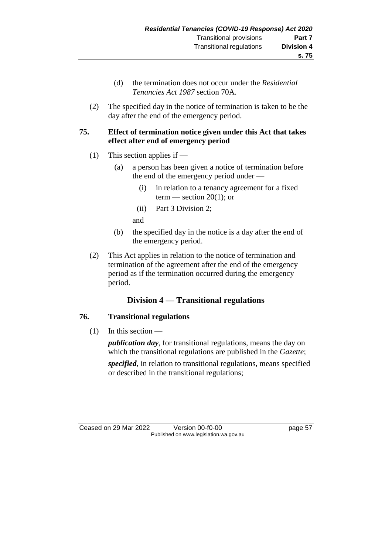- (d) the termination does not occur under the *Residential Tenancies Act 1987* section 70A.
- (2) The specified day in the notice of termination is taken to be the day after the end of the emergency period.

### **75. Effect of termination notice given under this Act that takes effect after end of emergency period**

- (1) This section applies if
	- (a) a person has been given a notice of termination before the end of the emergency period under —
		- (i) in relation to a tenancy agreement for a fixed term — section  $20(1)$ ; or
		- (ii) Part 3 Division 2;

and

- (b) the specified day in the notice is a day after the end of the emergency period.
- (2) This Act applies in relation to the notice of termination and termination of the agreement after the end of the emergency period as if the termination occurred during the emergency period.

## **Division 4 — Transitional regulations**

### **76. Transitional regulations**

(1) In this section —

*publication day*, for transitional regulations, means the day on which the transitional regulations are published in the *Gazette*; *specified*, in relation to transitional regulations, means specified or described in the transitional regulations;

Ceased on 29 Mar 2022 Version 00-f0-00 page 57 Published on www.legislation.wa.gov.au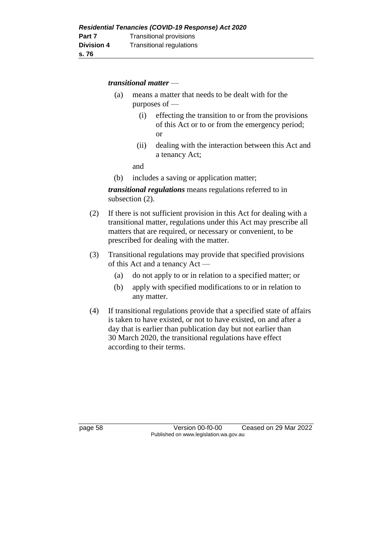#### *transitional matter* —

- (a) means a matter that needs to be dealt with for the purposes of —
	- (i) effecting the transition to or from the provisions of this Act or to or from the emergency period; or
	- (ii) dealing with the interaction between this Act and a tenancy Act;

and

(b) includes a saving or application matter;

*transitional regulations* means regulations referred to in subsection (2).

- (2) If there is not sufficient provision in this Act for dealing with a transitional matter, regulations under this Act may prescribe all matters that are required, or necessary or convenient, to be prescribed for dealing with the matter.
- (3) Transitional regulations may provide that specified provisions of this Act and a tenancy Act —
	- (a) do not apply to or in relation to a specified matter; or
	- (b) apply with specified modifications to or in relation to any matter.
- (4) If transitional regulations provide that a specified state of affairs is taken to have existed, or not to have existed, on and after a day that is earlier than publication day but not earlier than 30 March 2020, the transitional regulations have effect according to their terms.

page 58 Version 00-f0-00 Ceased on 29 Mar 2022 Published on www.legislation.wa.gov.au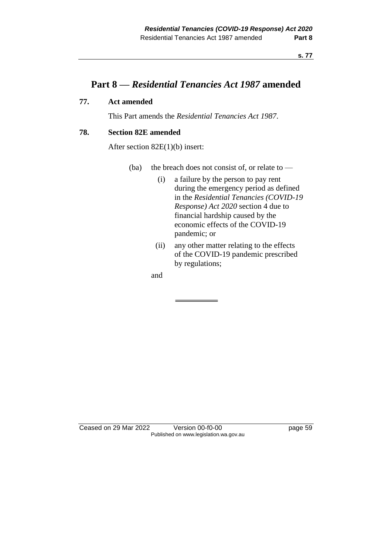## **Part 8 —** *Residential Tenancies Act 1987* **amended**

### **77. Act amended**

This Part amends the *Residential Tenancies Act 1987*.

### **78. Section 82E amended**

After section 82E(1)(b) insert:

- (ba) the breach does not consist of, or relate to  $-$ 
	- (i) a failure by the person to pay rent during the emergency period as defined in the *Residential Tenancies (COVID-19 Response) Act 2020* section 4 due to financial hardship caused by the economic effects of the COVID-19 pandemic; or
	- (ii) any other matter relating to the effects of the COVID-19 pandemic prescribed by regulations;

and

Ceased on 29 Mar 2022 Version 00-f0-00 page 59 Published on www.legislation.wa.gov.au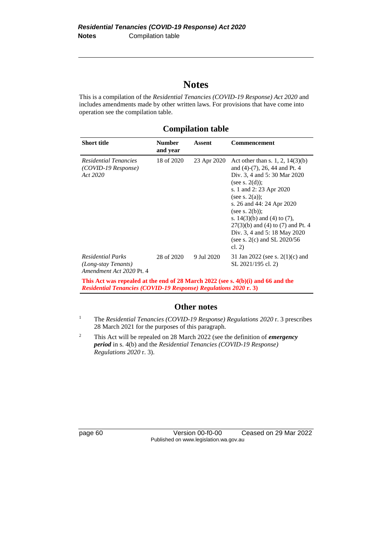# **Notes**

This is a compilation of the *Residential Tenancies (COVID-19 Response) Act 2020* and includes amendments made by other written laws. For provisions that have come into operation see the compilation table.

| <b>Short title</b>                                                                                                                                          | <b>Number</b><br>and year | <b>Assent</b> | <b>Commencement</b>                                                                                                                                                                                                                                                                                                                                                                       |  |  |  |
|-------------------------------------------------------------------------------------------------------------------------------------------------------------|---------------------------|---------------|-------------------------------------------------------------------------------------------------------------------------------------------------------------------------------------------------------------------------------------------------------------------------------------------------------------------------------------------------------------------------------------------|--|--|--|
| Residential Tenancies<br>(COVID-19 Response)<br>Act 2020                                                                                                    | 18 of 2020                | 23 Apr 2020   | Act other than s. 1, 2, $14(3)(b)$<br>and $(4)-(7)$ , 26, 44 and Pt. 4<br>Div. 3, 4 and 5: 30 Mar 2020<br>(see s. $2(d)$ );<br>s. 1 and 2: 23 Apr 2020<br>(see s. $2(a)$ );<br>s. 26 and 44: 24 Apr 2020<br>(see s. $2(b)$ );<br>s. $14(3)(b)$ and $(4)$ to $(7)$ ,<br>$27(3)(b)$ and (4) to (7) and Pt. 4<br>Div. 3, 4 and 5: 18 May 2020<br>(see s. $2(c)$ and SL $2020/56$<br>cl. $2)$ |  |  |  |
| <b>Residential Parks</b><br>(Long-stay Tenants)<br>Amendment Act 2020 Pt. 4                                                                                 | 28 of 2020                | 9 Jul 2020    | 31 Jan 2022 (see s. $2(1)(c)$ and<br>SL 2021/195 cl. 2)                                                                                                                                                                                                                                                                                                                                   |  |  |  |
| This Act was repealed at the end of 28 March 2022 (see s. 4(b)(i) and 66 and the<br><b>Residential Tenancies (COVID-19 Response) Regulations 2020 r. 3)</b> |                           |               |                                                                                                                                                                                                                                                                                                                                                                                           |  |  |  |

## **Compilation table**

#### **Other notes**

- <sup>1</sup> The *Residential Tenancies (COVID-19 Response) Regulations 2020* r. 3 prescribes 28 March 2021 for the purposes of this paragraph.
- <sup>2</sup> This Act will be repealed on 28 March 2022 (see the definition of *emergency period* in s. 4(b) and the *Residential Tenancies (COVID-19 Response) Regulations 2020* r. 3).

page 60 Version 00-f0-00 Ceased on 29 Mar 2022 Published on www.legislation.wa.gov.au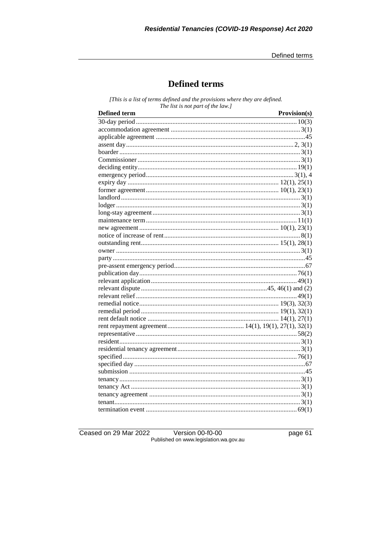Defined terms

## **Defined terms**

[This is a list of terms defined and the provisions where they are defined. The list is not part of the law.]

| <b>Defined term</b> | Provision(s) |
|---------------------|--------------|
|                     |              |
|                     |              |
|                     |              |
|                     |              |
|                     |              |
|                     |              |
|                     |              |
|                     |              |
|                     |              |
|                     |              |
|                     |              |
|                     |              |
|                     |              |
|                     |              |
|                     |              |
|                     |              |
|                     |              |
|                     |              |
|                     |              |
|                     |              |
|                     |              |
|                     |              |
|                     |              |
|                     |              |
|                     |              |
|                     |              |
|                     |              |
|                     |              |
|                     |              |
|                     |              |
|                     |              |
|                     |              |
|                     |              |
|                     |              |
|                     |              |
|                     |              |
|                     |              |
|                     |              |
|                     |              |

Ceased on 29 Mar 2022

Version 00-f0-00<br>Published on www.legislation.wa.gov.au

page 61